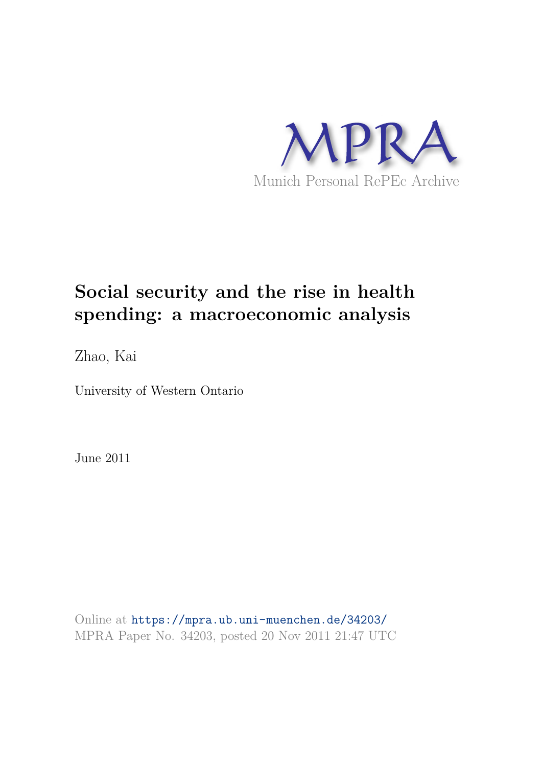

# **Social security and the rise in health spending: a macroeconomic analysis**

Zhao, Kai

University of Western Ontario

June 2011

Online at https://mpra.ub.uni-muenchen.de/34203/ MPRA Paper No. 34203, posted 20 Nov 2011 21:47 UTC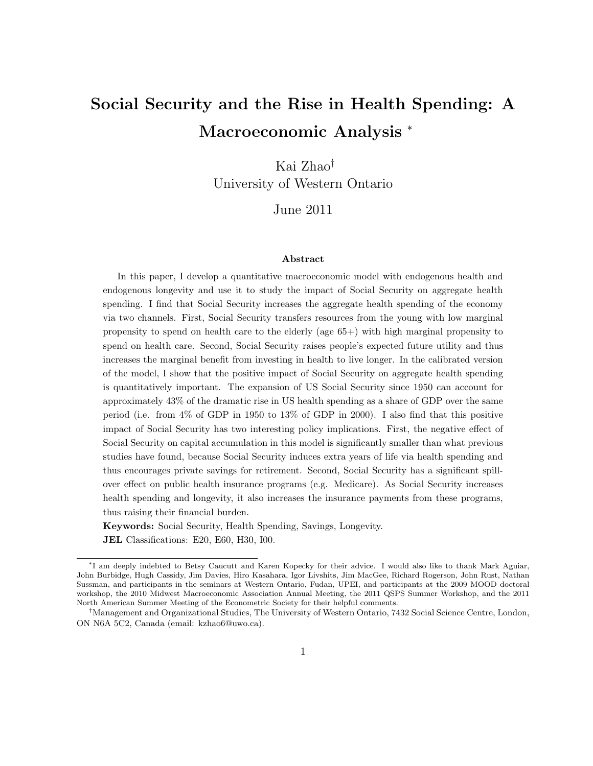## Social Security and the Rise in Health Spending: A Macroeconomic Analysis <sup>∗</sup>

Kai Zhao† University of Western Ontario

June 2011

#### Abstract

In this paper, I develop a quantitative macroeconomic model with endogenous health and endogenous longevity and use it to study the impact of Social Security on aggregate health spending. I find that Social Security increases the aggregate health spending of the economy via two channels. First, Social Security transfers resources from the young with low marginal propensity to spend on health care to the elderly (age 65+) with high marginal propensity to spend on health care. Second, Social Security raises people's expected future utility and thus increases the marginal benefit from investing in health to live longer. In the calibrated version of the model, I show that the positive impact of Social Security on aggregate health spending is quantitatively important. The expansion of US Social Security since 1950 can account for approximately 43% of the dramatic rise in US health spending as a share of GDP over the same period (i.e. from 4% of GDP in 1950 to 13% of GDP in 2000). I also find that this positive impact of Social Security has two interesting policy implications. First, the negative effect of Social Security on capital accumulation in this model is significantly smaller than what previous studies have found, because Social Security induces extra years of life via health spending and thus encourages private savings for retirement. Second, Social Security has a significant spillover effect on public health insurance programs (e.g. Medicare). As Social Security increases health spending and longevity, it also increases the insurance payments from these programs, thus raising their financial burden.

Keywords: Social Security, Health Spending, Savings, Longevity. JEL Classifications: E20, E60, H30, I00.

<sup>∗</sup> I am deeply indebted to Betsy Caucutt and Karen Kopecky for their advice. I would also like to thank Mark Aguiar, John Burbidge, Hugh Cassidy, Jim Davies, Hiro Kasahara, Igor Livshits, Jim MacGee, Richard Rogerson, John Rust, Nathan Sussman, and participants in the seminars at Western Ontario, Fudan, UPEI, and participants at the 2009 MOOD doctoral workshop, the 2010 Midwest Macroeconomic Association Annual Meeting, the 2011 QSPS Summer Workshop, and the 2011 North American Summer Meeting of the Econometric Society for their helpful comments.

<sup>†</sup>Management and Organizational Studies, The University of Western Ontario, 7432 Social Science Centre, London, ON N6A 5C2, Canada (email: kzhao6@uwo.ca).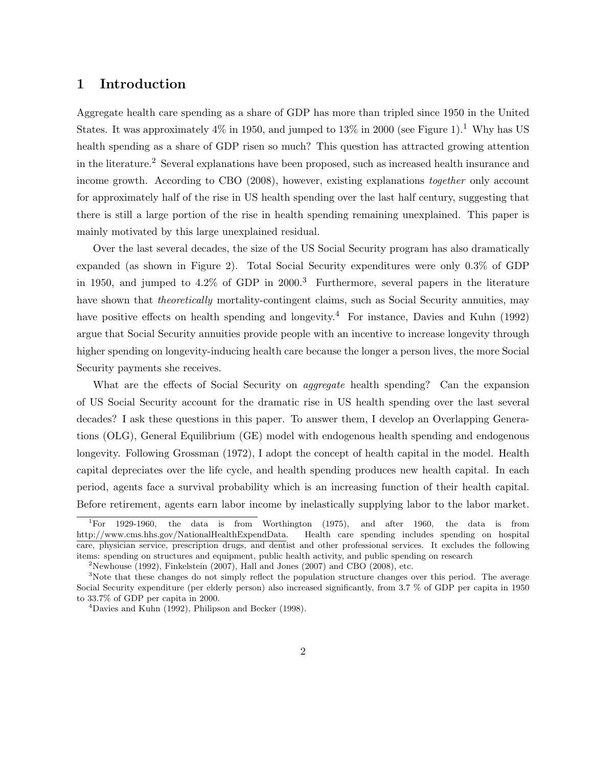## 1 Introduction

Aggregate health care spending as a share of GDP has more than tripled since 1950 in the United States. It was approximately  $4\%$  in 1950, and jumped to  $13\%$  in 2000 (see Figure 1).<sup>1</sup> Why has US health spending as a share of GDP risen so much? This question has attracted growing attention in the literature.<sup>2</sup> Several explanations have been proposed, such as increased health insurance and income growth. According to CBO (2008), however, existing explanations together only account for approximately half of the rise in US health spending over the last half century, suggesting that there is still a large portion of the rise in health spending remaining unexplained. This paper is mainly motivated by this large unexplained residual.

Over the last several decades, the size of the US Social Security program has also dramatically expanded (as shown in Figure 2). Total Social Security expenditures were only 0.3% of GDP in 1950, and jumped to 4.2% of GDP in 2000.<sup>3</sup> Furthermore, several papers in the literature have shown that *theoretically* mortality-contingent claims, such as Social Security annuities, may have positive effects on health spending and longevity.<sup>4</sup> For instance, Davies and Kuhn (1992) argue that Social Security annuities provide people with an incentive to increase longevity through higher spending on longevity-inducing health care because the longer a person lives, the more Social Security payments she receives.

What are the effects of Social Security on *aggregate* health spending? Can the expansion of US Social Security account for the dramatic rise in US health spending over the last several decades? I ask these questions in this paper. To answer them, I develop an Overlapping Generations (OLG), General Equilibrium (GE) model with endogenous health spending and endogenous longevity. Following Grossman (1972), I adopt the concept of health capital in the model. Health capital depreciates over the life cycle, and health spending produces new health capital. In each period, agents face a survival probability which is an increasing function of their health capital. Before retirement, agents earn labor income by inelastically supplying labor to the labor market.

<sup>1</sup>For 1929-1960, the data is from Worthington (1975), and after 1960, the data is from http://www.cms.hhs.gov/NationalHealthExpendData. Health care spending includes spending on hospital care, physician service, prescription drugs, and dentist and other professional services. It excludes the following items: spending on structures and equipment, public health activity, and public spending on research

<sup>&</sup>lt;sup>2</sup>Newhouse (1992), Finkelstein (2007), Hall and Jones (2007) and CBO (2008), etc.

<sup>&</sup>lt;sup>3</sup>Note that these changes do not simply reflect the population structure changes over this period. The average Social Security expenditure (per elderly person) also increased significantly, from 3.7 % of GDP per capita in 1950 to 33.7% of GDP per capita in 2000.

 $^{4}$ Davies and Kuhn (1992), Philipson and Becker (1998).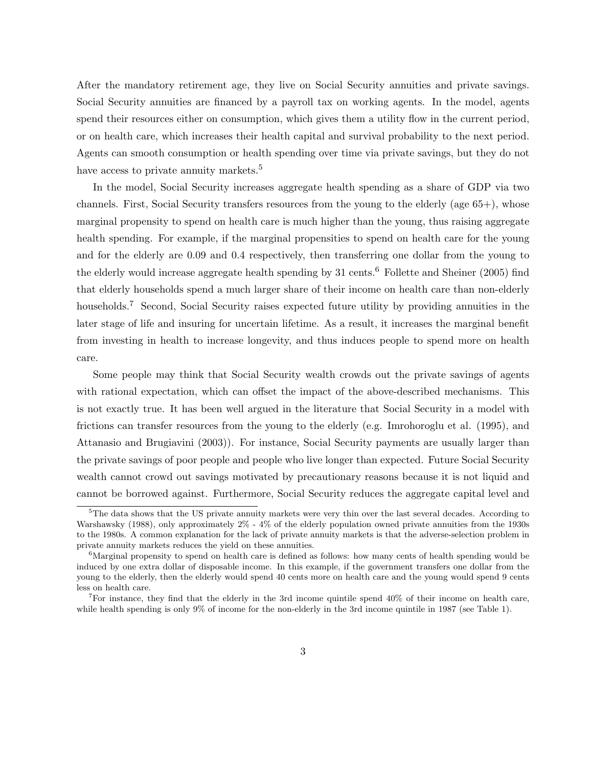After the mandatory retirement age, they live on Social Security annuities and private savings. Social Security annuities are financed by a payroll tax on working agents. In the model, agents spend their resources either on consumption, which gives them a utility flow in the current period, or on health care, which increases their health capital and survival probability to the next period. Agents can smooth consumption or health spending over time via private savings, but they do not have access to private annuity markets.<sup>5</sup>

In the model, Social Security increases aggregate health spending as a share of GDP via two channels. First, Social Security transfers resources from the young to the elderly (age 65+), whose marginal propensity to spend on health care is much higher than the young, thus raising aggregate health spending. For example, if the marginal propensities to spend on health care for the young and for the elderly are 0.09 and 0.4 respectively, then transferring one dollar from the young to the elderly would increase aggregate health spending by 31 cents.<sup>6</sup> Follette and Sheiner (2005) find that elderly households spend a much larger share of their income on health care than non-elderly households.<sup>7</sup> Second, Social Security raises expected future utility by providing annuities in the later stage of life and insuring for uncertain lifetime. As a result, it increases the marginal benefit from investing in health to increase longevity, and thus induces people to spend more on health care.

Some people may think that Social Security wealth crowds out the private savings of agents with rational expectation, which can offset the impact of the above-described mechanisms. This is not exactly true. It has been well argued in the literature that Social Security in a model with frictions can transfer resources from the young to the elderly (e.g. Imrohoroglu et al. (1995), and Attanasio and Brugiavini (2003)). For instance, Social Security payments are usually larger than the private savings of poor people and people who live longer than expected. Future Social Security wealth cannot crowd out savings motivated by precautionary reasons because it is not liquid and cannot be borrowed against. Furthermore, Social Security reduces the aggregate capital level and

<sup>&</sup>lt;sup>5</sup>The data shows that the US private annuity markets were very thin over the last several decades. According to Warshawsky (1988), only approximately 2% - 4% of the elderly population owned private annuities from the 1930s to the 1980s. A common explanation for the lack of private annuity markets is that the adverse-selection problem in private annuity markets reduces the yield on these annuities.

<sup>&</sup>lt;sup>6</sup>Marginal propensity to spend on health care is defined as follows: how many cents of health spending would be induced by one extra dollar of disposable income. In this example, if the government transfers one dollar from the young to the elderly, then the elderly would spend 40 cents more on health care and the young would spend 9 cents less on health care.

<sup>&</sup>lt;sup>7</sup>For instance, they find that the elderly in the 3rd income quintile spend  $40\%$  of their income on health care, while health spending is only 9% of income for the non-elderly in the 3rd income quintile in 1987 (see Table 1).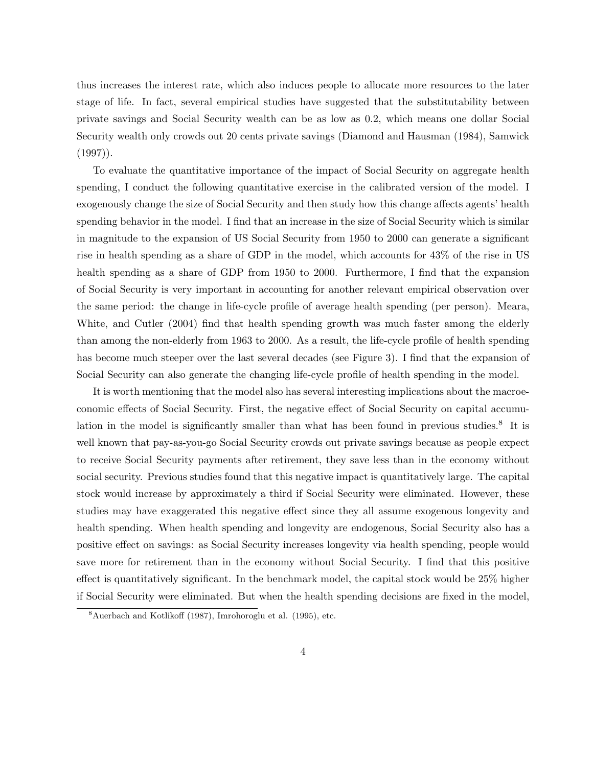thus increases the interest rate, which also induces people to allocate more resources to the later stage of life. In fact, several empirical studies have suggested that the substitutability between private savings and Social Security wealth can be as low as 0.2, which means one dollar Social Security wealth only crowds out 20 cents private savings (Diamond and Hausman (1984), Samwick  $(1997)$ .

To evaluate the quantitative importance of the impact of Social Security on aggregate health spending, I conduct the following quantitative exercise in the calibrated version of the model. I exogenously change the size of Social Security and then study how this change affects agents' health spending behavior in the model. I find that an increase in the size of Social Security which is similar in magnitude to the expansion of US Social Security from 1950 to 2000 can generate a significant rise in health spending as a share of GDP in the model, which accounts for 43% of the rise in US health spending as a share of GDP from 1950 to 2000. Furthermore, I find that the expansion of Social Security is very important in accounting for another relevant empirical observation over the same period: the change in life-cycle profile of average health spending (per person). Meara, White, and Cutler (2004) find that health spending growth was much faster among the elderly than among the non-elderly from 1963 to 2000. As a result, the life-cycle profile of health spending has become much steeper over the last several decades (see Figure 3). I find that the expansion of Social Security can also generate the changing life-cycle profile of health spending in the model.

It is worth mentioning that the model also has several interesting implications about the macroeconomic effects of Social Security. First, the negative effect of Social Security on capital accumulation in the model is significantly smaller than what has been found in previous studies.<sup>8</sup> It is well known that pay-as-you-go Social Security crowds out private savings because as people expect to receive Social Security payments after retirement, they save less than in the economy without social security. Previous studies found that this negative impact is quantitatively large. The capital stock would increase by approximately a third if Social Security were eliminated. However, these studies may have exaggerated this negative effect since they all assume exogenous longevity and health spending. When health spending and longevity are endogenous, Social Security also has a positive effect on savings: as Social Security increases longevity via health spending, people would save more for retirement than in the economy without Social Security. I find that this positive effect is quantitatively significant. In the benchmark model, the capital stock would be 25% higher if Social Security were eliminated. But when the health spending decisions are fixed in the model,

<sup>8</sup>Auerbach and Kotlikoff (1987), Imrohoroglu et al. (1995), etc.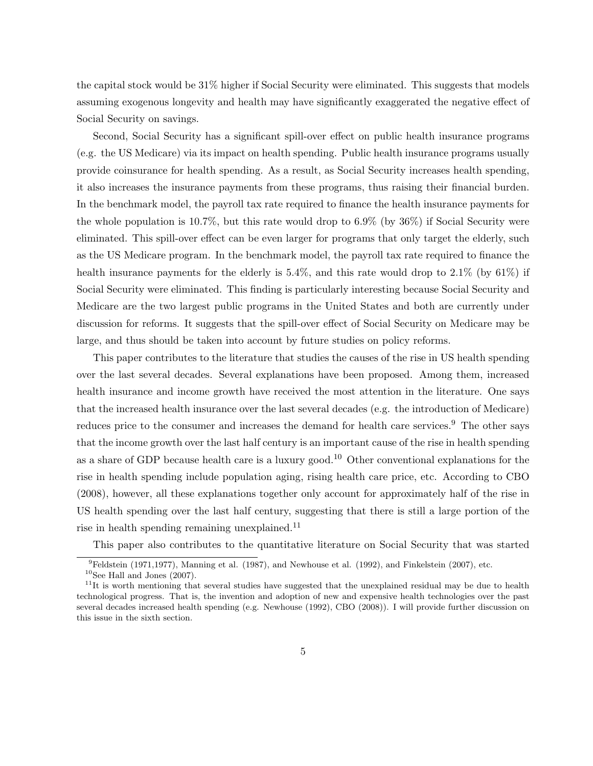the capital stock would be 31% higher if Social Security were eliminated. This suggests that models assuming exogenous longevity and health may have significantly exaggerated the negative effect of Social Security on savings.

Second, Social Security has a significant spill-over effect on public health insurance programs (e.g. the US Medicare) via its impact on health spending. Public health insurance programs usually provide coinsurance for health spending. As a result, as Social Security increases health spending, it also increases the insurance payments from these programs, thus raising their financial burden. In the benchmark model, the payroll tax rate required to finance the health insurance payments for the whole population is 10.7%, but this rate would drop to 6.9% (by 36%) if Social Security were eliminated. This spill-over effect can be even larger for programs that only target the elderly, such as the US Medicare program. In the benchmark model, the payroll tax rate required to finance the health insurance payments for the elderly is  $5.4\%$ , and this rate would drop to  $2.1\%$  (by  $61\%$ ) if Social Security were eliminated. This finding is particularly interesting because Social Security and Medicare are the two largest public programs in the United States and both are currently under discussion for reforms. It suggests that the spill-over effect of Social Security on Medicare may be large, and thus should be taken into account by future studies on policy reforms.

This paper contributes to the literature that studies the causes of the rise in US health spending over the last several decades. Several explanations have been proposed. Among them, increased health insurance and income growth have received the most attention in the literature. One says that the increased health insurance over the last several decades (e.g. the introduction of Medicare) reduces price to the consumer and increases the demand for health care services.<sup>9</sup> The other says that the income growth over the last half century is an important cause of the rise in health spending as a share of GDP because health care is a luxury good.<sup>10</sup> Other conventional explanations for the rise in health spending include population aging, rising health care price, etc. According to CBO (2008), however, all these explanations together only account for approximately half of the rise in US health spending over the last half century, suggesting that there is still a large portion of the rise in health spending remaining unexplained.<sup>11</sup>

This paper also contributes to the quantitative literature on Social Security that was started

 $9Feldstein (1971,1977)$ , Manning et al. (1987), and Newhouse et al. (1992), and Finkelstein (2007), etc.

 $10$ See Hall and Jones (2007).

 $11$ It is worth mentioning that several studies have suggested that the unexplained residual may be due to health technological progress. That is, the invention and adoption of new and expensive health technologies over the past several decades increased health spending (e.g. Newhouse (1992), CBO (2008)). I will provide further discussion on this issue in the sixth section.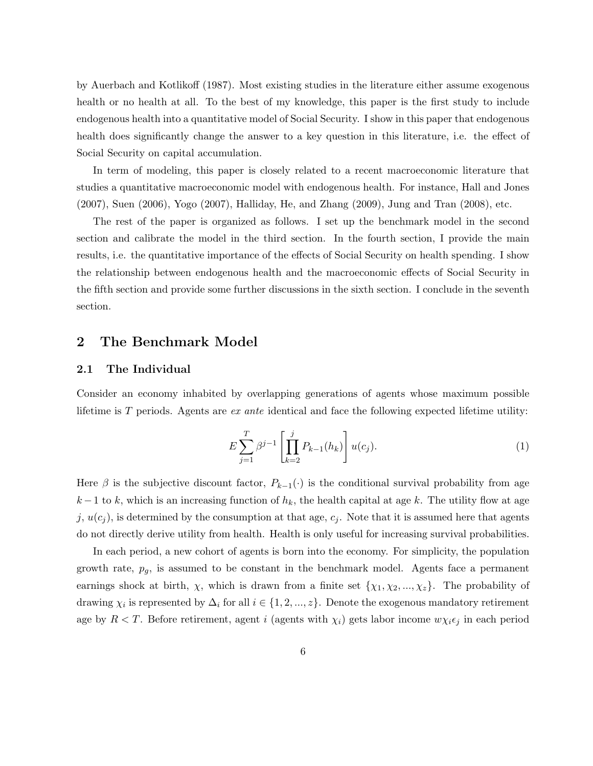by Auerbach and Kotlikoff (1987). Most existing studies in the literature either assume exogenous health or no health at all. To the best of my knowledge, this paper is the first study to include endogenous health into a quantitative model of Social Security. I show in this paper that endogenous health does significantly change the answer to a key question in this literature, i.e. the effect of Social Security on capital accumulation.

In term of modeling, this paper is closely related to a recent macroeconomic literature that studies a quantitative macroeconomic model with endogenous health. For instance, Hall and Jones (2007), Suen (2006), Yogo (2007), Halliday, He, and Zhang (2009), Jung and Tran (2008), etc.

The rest of the paper is organized as follows. I set up the benchmark model in the second section and calibrate the model in the third section. In the fourth section, I provide the main results, i.e. the quantitative importance of the effects of Social Security on health spending. I show the relationship between endogenous health and the macroeconomic effects of Social Security in the fifth section and provide some further discussions in the sixth section. I conclude in the seventh section.

## 2 The Benchmark Model

#### 2.1 The Individual

Consider an economy inhabited by overlapping generations of agents whose maximum possible lifetime is  $T$  periods. Agents are *ex ante* identical and face the following expected lifetime utility:

$$
E\sum_{j=1}^{T} \beta^{j-1} \left[ \prod_{k=2}^{j} P_{k-1}(h_k) \right] u(c_j).
$$
 (1)

Here  $\beta$  is the subjective discount factor,  $P_{k-1}(\cdot)$  is the conditional survival probability from age  $k-1$  to k, which is an increasing function of  $h_k$ , the health capital at age k. The utility flow at age j,  $u(c_j)$ , is determined by the consumption at that age,  $c_j$ . Note that it is assumed here that agents do not directly derive utility from health. Health is only useful for increasing survival probabilities.

In each period, a new cohort of agents is born into the economy. For simplicity, the population growth rate,  $p_g$ , is assumed to be constant in the benchmark model. Agents face a permanent earnings shock at birth,  $\chi$ , which is drawn from a finite set  $\{\chi_1, \chi_2, ..., \chi_z\}$ . The probability of drawing  $\chi_i$  is represented by  $\Delta_i$  for all  $i \in \{1, 2, ..., z\}$ . Denote the exogenous mandatory retirement age by  $R < T$ . Before retirement, agent i (agents with  $\chi_i$ ) gets labor income  $w\chi_i\epsilon_j$  in each period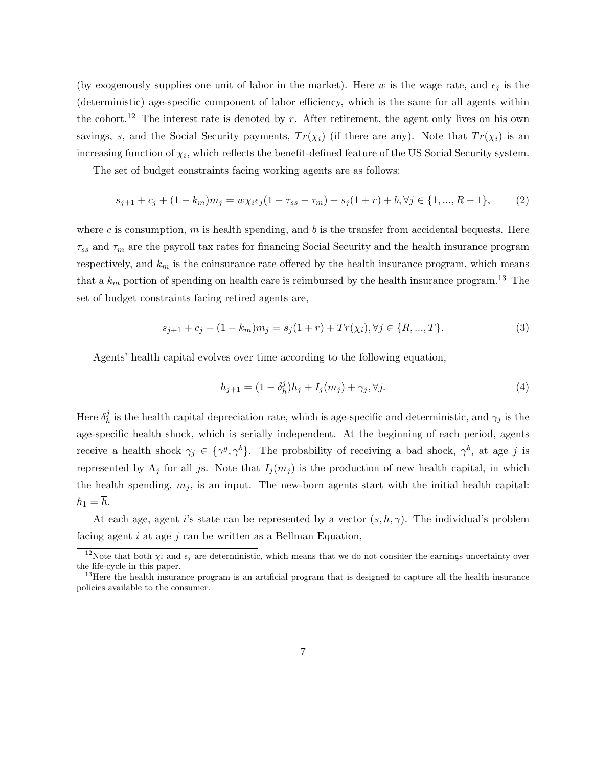(by exogenously supplies one unit of labor in the market). Here w is the wage rate, and  $\epsilon_j$  is the (deterministic) age-specific component of labor efficiency, which is the same for all agents within the cohort.<sup>12</sup> The interest rate is denoted by r. After retirement, the agent only lives on his own savings, s, and the Social Security payments,  $Tr(\chi_i)$  (if there are any). Note that  $Tr(\chi_i)$  is an increasing function of  $\chi_i$ , which reflects the benefit-defined feature of the US Social Security system.

The set of budget constraints facing working agents are as follows:

$$
s_{j+1} + c_j + (1 - k_m)m_j = w\chi_i\epsilon_j(1 - \tau_{ss} - \tau_m) + s_j(1 + r) + b, \forall j \in \{1, ..., R - 1\},\tag{2}
$$

where c is consumption, m is health spending, and b is the transfer from accidental bequests. Here  $\tau_{ss}$  and  $\tau_m$  are the payroll tax rates for financing Social Security and the health insurance program respectively, and  $k_m$  is the coinsurance rate offered by the health insurance program, which means that a  $k_m$  portion of spending on health care is reimbursed by the health insurance program.<sup>13</sup> The set of budget constraints facing retired agents are,

$$
s_{j+1} + c_j + (1 - k_m)m_j = s_j(1+r) + Tr(\chi_i), \forall j \in \{R, ..., T\}.
$$
 (3)

Agents' health capital evolves over time according to the following equation,

$$
h_{j+1} = (1 - \delta_h^j)h_j + I_j(m_j) + \gamma_j, \forall j.
$$
\n(4)

Here  $\delta_h^j$ h is the health capital depreciation rate, which is age-specific and deterministic, and  $\gamma_j$  is the age-specific health shock, which is serially independent. At the beginning of each period, agents receive a health shock  $\gamma_j \in \{\gamma^g, \gamma^b\}$ . The probability of receiving a bad shock,  $\gamma^b$ , at age j is represented by  $\Lambda_j$  for all js. Note that  $I_j(m_j)$  is the production of new health capital, in which the health spending,  $m_j$ , is an input. The new-born agents start with the initial health capital:  $h_1 = \overline{h}.$ 

At each age, agent i's state can be represented by a vector  $(s, h, \gamma)$ . The individual's problem facing agent  $i$  at age  $j$  can be written as a Bellman Equation,

<sup>&</sup>lt;sup>12</sup>Note that both  $\chi_i$  and  $\epsilon_j$  are deterministic, which means that we do not consider the earnings uncertainty over the life-cycle in this paper.

<sup>&</sup>lt;sup>13</sup>Here the health insurance program is an artificial program that is designed to capture all the health insurance policies available to the consumer.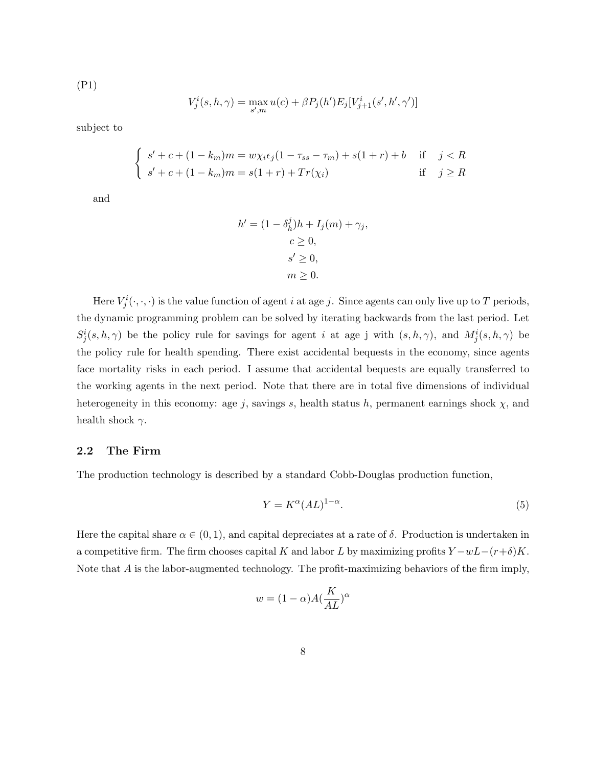(P1)

$$
V_j^i(s, h, \gamma) = \max_{s', m} u(c) + \beta P_j(h') E_j[V_{j+1}^i(s', h', \gamma')]
$$

subject to

$$
\begin{cases}\ns' + c + (1 - k_m)m = w\chi_i\epsilon_j(1 - \tau_{ss} - \tau_m) + s(1 + r) + b & \text{if } j < R \\
s' + c + (1 - k_m)m = s(1 + r) + Tr(\chi_i) & \text{if } j \ge R\n\end{cases}
$$

and

$$
h' = (1 - \delta_h^j)h + I_j(m) + \gamma_j,
$$
  
\n
$$
c \ge 0,
$$
  
\n
$$
s' \ge 0,
$$
  
\n
$$
m \ge 0.
$$

Here  $V_j^i(\cdot,\cdot,\cdot)$  is the value function of agent i at age j. Since agents can only live up to T periods, the dynamic programming problem can be solved by iterating backwards from the last period. Let  $S_j^i(s, h, \gamma)$  be the policy rule for savings for agent i at age j with  $(s, h, \gamma)$ , and  $M_j^i(s, h, \gamma)$  be the policy rule for health spending. There exist accidental bequests in the economy, since agents face mortality risks in each period. I assume that accidental bequests are equally transferred to the working agents in the next period. Note that there are in total five dimensions of individual heterogeneity in this economy: age j, savings s, health status h, permanent earnings shock  $\chi$ , and health shock  $\gamma$ .

#### 2.2 The Firm

The production technology is described by a standard Cobb-Douglas production function,

$$
Y = K^{\alpha} (AL)^{1-\alpha}.
$$
 (5)

Here the capital share  $\alpha \in (0,1)$ , and capital depreciates at a rate of  $\delta$ . Production is undertaken in a competitive firm. The firm chooses capital K and labor L by maximizing profits  $Y - wL - (r+\delta)K$ . Note that A is the labor-augmented technology. The profit-maximizing behaviors of the firm imply,

$$
w = (1 - \alpha)A(\frac{K}{AL})^{\alpha}
$$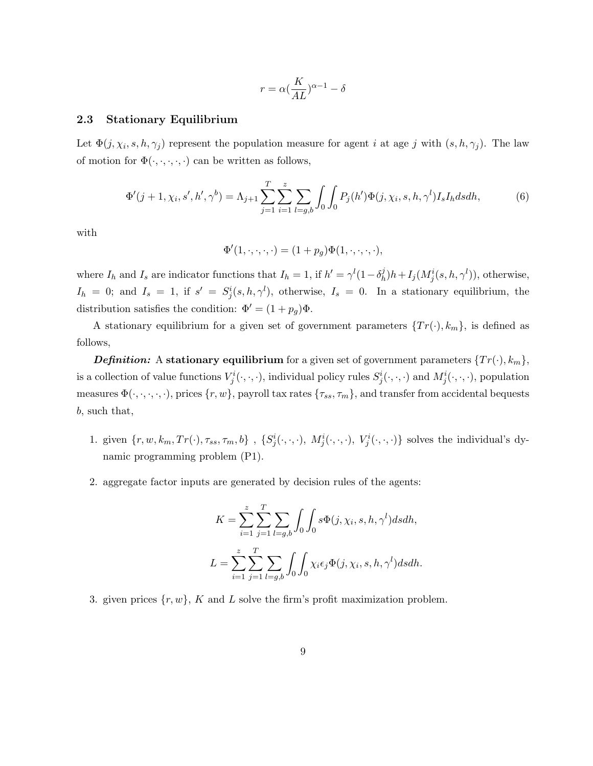$$
r = \alpha (\frac{K}{AL})^{\alpha - 1} - \delta
$$

#### 2.3 Stationary Equilibrium

Let  $\Phi(j, \chi_i, s, h, \gamma_j)$  represent the population measure for agent i at age j with  $(s, h, \gamma_j)$ . The law of motion for  $\Phi(\cdot,\cdot,\cdot,\cdot,\cdot)$  can be written as follows,

$$
\Phi'(j+1,\chi_i,s',h',\gamma^b) = \Lambda_{j+1} \sum_{j=1}^T \sum_{i=1}^z \sum_{l=g,b} \int_0 \int_0 P_j(h') \Phi(j,\chi_i,s,h,\gamma^l) I_s I_h ds dh,
$$
(6)

with

$$
\Phi'(1,\cdot,\cdot,\cdot,\cdot)=(1+p_g)\Phi(1,\cdot,\cdot,\cdot,\cdot),
$$

where  $I_h$  and  $I_s$  are indicator functions that  $I_h = 1$ , if  $h' = \gamma^l (1 - \delta_h^j)$  $\mathcal{L}_h^j(h+I_j(M_j^i(s,h,\gamma^l)),$  otherwise,  $I_h = 0$ ; and  $I_s = 1$ , if  $s' = S_j^i(s, h, \gamma^l)$ , otherwise,  $I_s = 0$ . In a stationary equilibrium, the distribution satisfies the condition:  $\Phi' = (1 + p_g)\Phi$ .

A stationary equilibrium for a given set of government parameters  $\{Tr(\cdot), k_m\}$ , is defined as follows,

**Definition:** A stationary equilibrium for a given set of government parameters  $\{Tr(\cdot), k_m\}$ , is a collection of value functions  $V^i_j(\cdot,\cdot,\cdot)$ , individual policy rules  $S^i_j(\cdot,\cdot,\cdot)$  and  $M^i_j(\cdot,\cdot,\cdot)$ , population measures  $\Phi(\cdot,\cdot,\cdot,\cdot,\cdot)$ , prices  $\{r,w\}$ , payroll tax rates  $\{\tau_{ss},\tau_m\}$ , and transfer from accidental bequests b, such that,

- 1. given  $\{r, w, k_m, Tr(\cdot), \tau_{ss}, \tau_m, b\}$ ,  $\{S_j^i(\cdot, \cdot, \cdot), M_j^i(\cdot, \cdot, \cdot), V_j^i(\cdot, \cdot, \cdot)\}$  solves the individual's dynamic programming problem (P1).
- 2. aggregate factor inputs are generated by decision rules of the agents:

$$
K = \sum_{i=1}^{z} \sum_{j=1}^{T} \sum_{l=g,b} \int_{0} \int_{0} s\Phi(j, \chi_{i}, s, h, \gamma^{l}) ds dh,
$$
  

$$
L = \sum_{i=1}^{z} \sum_{j=1}^{T} \sum_{l=g,b} \int_{0} \int_{0} \chi_{i} \epsilon_{j} \Phi(j, \chi_{i}, s, h, \gamma^{l}) ds dh.
$$

3. given prices  $\{r, w\}$ , K and L solve the firm's profit maximization problem.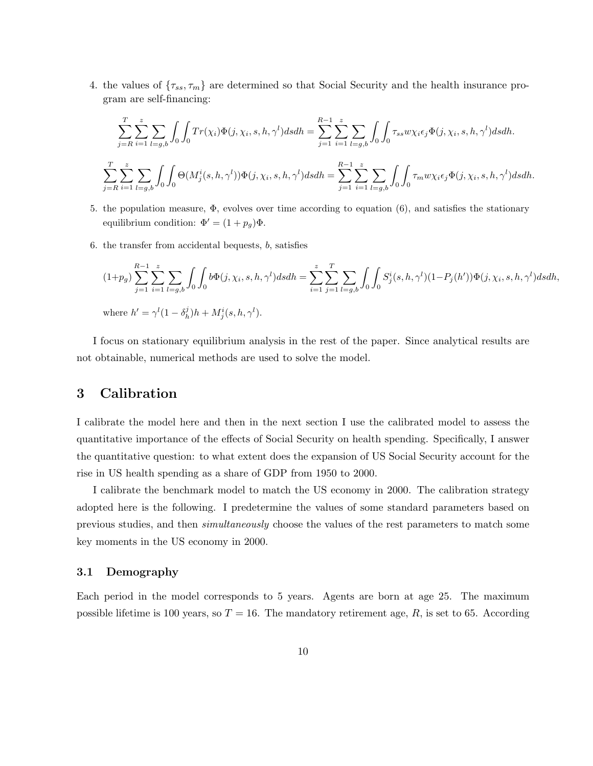4. the values of  $\{\tau_{ss}, \tau_m\}$  are determined so that Social Security and the health insurance program are self-financing:

$$
\sum_{j=R}^{T} \sum_{i=1}^{z} \sum_{l=g,b} \int_{0} \int_{0} Tr(\chi_{i}) \Phi(j, \chi_{i}, s, h, \gamma^{l}) ds dh = \sum_{j=1}^{R-1} \sum_{i=1}^{z} \sum_{l=g,b} \int_{0} \int_{0} \tau_{ss} w \chi_{i} \epsilon_{j} \Phi(j, \chi_{i}, s, h, \gamma^{l}) ds dh.
$$
  

$$
\sum_{j=R}^{T} \sum_{i=1}^{z} \sum_{l=g,b} \int_{0} \int_{0} \Theta(M_{j}^{i}(s, h, \gamma^{l})) \Phi(j, \chi_{i}, s, h, \gamma^{l}) ds dh = \sum_{j=1}^{R-1} \sum_{i=1}^{z} \sum_{l=g,b} \int_{0} \int_{0} \tau_{m} w \chi_{i} \epsilon_{j} \Phi(j, \chi_{i}, s, h, \gamma^{l}) ds dh.
$$

- 5. the population measure,  $\Phi$ , evolves over time according to equation (6), and satisfies the stationary equilibrium condition:  $\Phi' = (1 + p_g)\Phi$ .
- 6. the transfer from accidental bequests, b, satisfies

$$
(1+p_g)\sum_{j=1}^{R-1}\sum_{i=1}^{z}\sum_{l=g,b}\int_{0}\int_{0}b\Phi(j,\chi_i,s,h,\gamma^l)dsdh = \sum_{i=1}^{z}\sum_{j=1}^{T}\sum_{l=g,b}\int_{0}\int_{0}S_j^i(s,h,\gamma^l)(1-P_j(h'))\Phi(j,\chi_i,s,h,\gamma^l)dsdh,
$$
  
where  $h' = \gamma^l(1-\delta_h^j)h + M_j^i(s,h,\gamma^l).$ 

I focus on stationary equilibrium analysis in the rest of the paper. Since analytical results are not obtainable, numerical methods are used to solve the model.

## 3 Calibration

I calibrate the model here and then in the next section I use the calibrated model to assess the quantitative importance of the effects of Social Security on health spending. Specifically, I answer the quantitative question: to what extent does the expansion of US Social Security account for the rise in US health spending as a share of GDP from 1950 to 2000.

I calibrate the benchmark model to match the US economy in 2000. The calibration strategy adopted here is the following. I predetermine the values of some standard parameters based on previous studies, and then simultaneously choose the values of the rest parameters to match some key moments in the US economy in 2000.

#### 3.1 Demography

Each period in the model corresponds to 5 years. Agents are born at age 25. The maximum possible lifetime is 100 years, so  $T = 16$ . The mandatory retirement age, R, is set to 65. According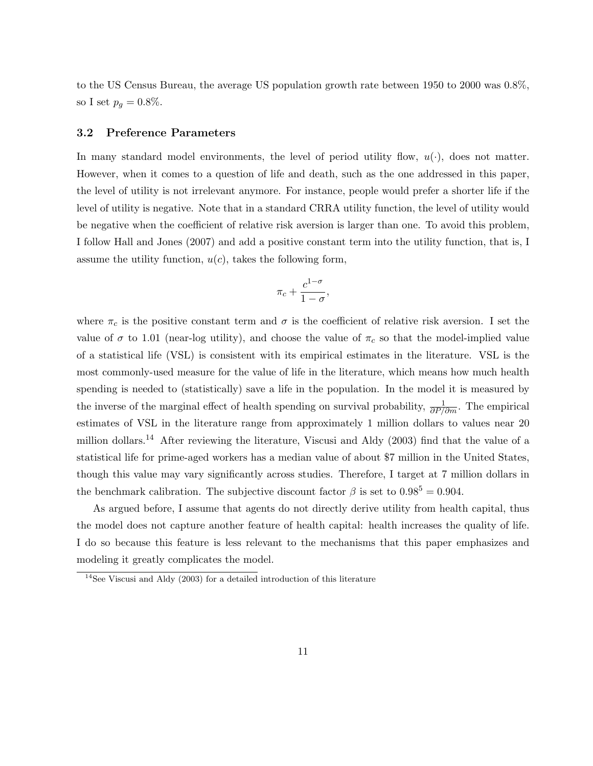to the US Census Bureau, the average US population growth rate between 1950 to 2000 was 0.8%, so I set  $p_g = 0.8\%$ .

#### 3.2 Preference Parameters

In many standard model environments, the level of period utility flow,  $u(\cdot)$ , does not matter. However, when it comes to a question of life and death, such as the one addressed in this paper, the level of utility is not irrelevant anymore. For instance, people would prefer a shorter life if the level of utility is negative. Note that in a standard CRRA utility function, the level of utility would be negative when the coefficient of relative risk aversion is larger than one. To avoid this problem, I follow Hall and Jones (2007) and add a positive constant term into the utility function, that is, I assume the utility function,  $u(c)$ , takes the following form,

$$
\pi_c + \frac{c^{1-\sigma}}{1-\sigma},
$$

where  $\pi_c$  is the positive constant term and  $\sigma$  is the coefficient of relative risk aversion. I set the value of  $\sigma$  to 1.01 (near-log utility), and choose the value of  $\pi_c$  so that the model-implied value of a statistical life (VSL) is consistent with its empirical estimates in the literature. VSL is the most commonly-used measure for the value of life in the literature, which means how much health spending is needed to (statistically) save a life in the population. In the model it is measured by the inverse of the marginal effect of health spending on survival probability,  $\frac{1}{\partial P/\partial m}$ . The empirical estimates of VSL in the literature range from approximately 1 million dollars to values near 20 million dollars.<sup>14</sup> After reviewing the literature, Viscusi and Aldy (2003) find that the value of a statistical life for prime-aged workers has a median value of about \$7 million in the United States, though this value may vary significantly across studies. Therefore, I target at 7 million dollars in the benchmark calibration. The subjective discount factor  $\beta$  is set to  $0.98^5 = 0.904$ .

As argued before, I assume that agents do not directly derive utility from health capital, thus the model does not capture another feature of health capital: health increases the quality of life. I do so because this feature is less relevant to the mechanisms that this paper emphasizes and modeling it greatly complicates the model.

 $14$ See Viscusi and Aldy (2003) for a detailed introduction of this literature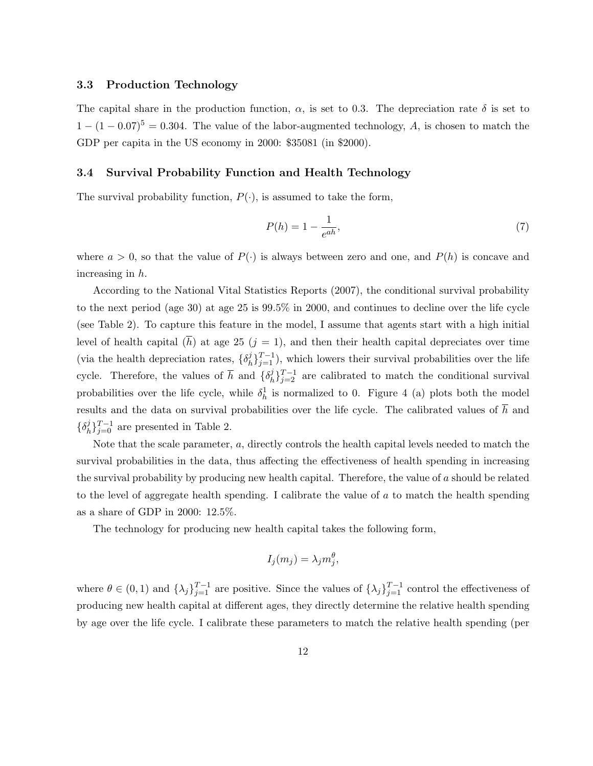#### 3.3 Production Technology

The capital share in the production function,  $\alpha$ , is set to 0.3. The depreciation rate  $\delta$  is set to  $1 - (1 - 0.07)^5 = 0.304$ . The value of the labor-augmented technology, A, is chosen to match the GDP per capita in the US economy in 2000: \$35081 (in \$2000).

#### 3.4 Survival Probability Function and Health Technology

The survival probability function,  $P(\cdot)$ , is assumed to take the form,

$$
P(h) = 1 - \frac{1}{e^{ah}},\tag{7}
$$

where  $a > 0$ , so that the value of  $P(\cdot)$  is always between zero and one, and  $P(h)$  is concave and increasing in h.

According to the National Vital Statistics Reports (2007), the conditional survival probability to the next period (age 30) at age 25 is 99.5% in 2000, and continues to decline over the life cycle (see Table 2). To capture this feature in the model, I assume that agents start with a high initial level of health capital (h) at age 25 ( $j = 1$ ), and then their health capital depreciates over time (via the health depreciation rates,  $\{\delta_h^j\}$  ${}_{h}^{j}$  ${}_{j=1}^{T-1}$ ), which lowers their survival probabilities over the life cycle. Therefore, the values of  $\bar{h}$  and  $\{\delta_h^j\}$  ${}_{h}^{j}$ ]<sup>T-1</sup> are calibrated to match the conditional survival probabilities over the life cycle, while  $\delta_h^1$  is normalized to 0. Figure 4 (a) plots both the model results and the data on survival probabilities over the life cycle. The calibrated values of  $\bar{h}$  and  $\{\delta_h^j$  ${}_{h}^{j}$ } ${}_{j=0}^{T-1}$  are presented in Table 2.

Note that the scale parameter, a, directly controls the health capital levels needed to match the survival probabilities in the data, thus affecting the effectiveness of health spending in increasing the survival probability by producing new health capital. Therefore, the value of a should be related to the level of aggregate health spending. I calibrate the value of a to match the health spending as a share of GDP in 2000: 12.5%.

The technology for producing new health capital takes the following form,

$$
I_j(m_j) = \lambda_j m_j^{\theta},
$$

where  $\theta \in (0,1)$  and  $\{\lambda_j\}_{j=1}^{T-1}$  are positive. Since the values of  $\{\lambda_j\}_{j=1}^{T-1}$  control the effectiveness of producing new health capital at different ages, they directly determine the relative health spending by age over the life cycle. I calibrate these parameters to match the relative health spending (per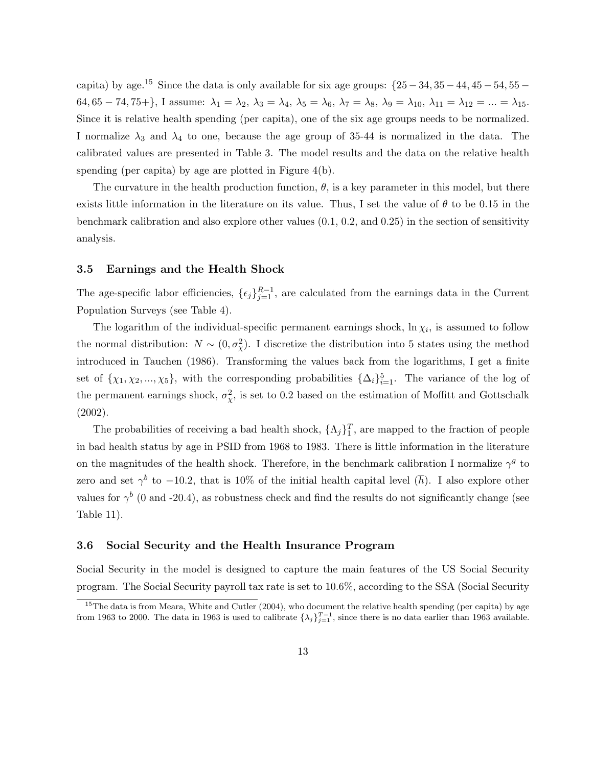capita) by age.<sup>15</sup> Since the data is only available for six age groups:  $\{25 - 34, 35 - 44, 45 - 54, 55 -$ 64, 65 – 74, 75+}, I assume:  $\lambda_1 = \lambda_2$ ,  $\lambda_3 = \lambda_4$ ,  $\lambda_5 = \lambda_6$ ,  $\lambda_7 = \lambda_8$ ,  $\lambda_9 = \lambda_{10}$ ,  $\lambda_{11} = \lambda_{12} = ... = \lambda_{15}$ . Since it is relative health spending (per capita), one of the six age groups needs to be normalized. I normalize  $\lambda_3$  and  $\lambda_4$  to one, because the age group of 35-44 is normalized in the data. The calibrated values are presented in Table 3. The model results and the data on the relative health spending (per capita) by age are plotted in Figure 4(b).

The curvature in the health production function,  $\theta$ , is a key parameter in this model, but there exists little information in the literature on its value. Thus, I set the value of  $\theta$  to be 0.15 in the benchmark calibration and also explore other values (0.1, 0.2, and 0.25) in the section of sensitivity analysis.

#### 3.5 Earnings and the Health Shock

The age-specific labor efficiencies,  $\{\epsilon_j\}_{j=1}^{R-1}$ , are calculated from the earnings data in the Current Population Surveys (see Table 4).

The logarithm of the individual-specific permanent earnings shock,  $\ln \chi_i$ , is assumed to follow the normal distribution:  $N \sim (0, \sigma_{\chi}^2)$ . I discretize the distribution into 5 states using the method introduced in Tauchen (1986). Transforming the values back from the logarithms, I get a finite set of  $\{\chi_1, \chi_2, ..., \chi_5\}$ , with the corresponding probabilities  $\{\Delta_i\}_{i=1}^5$ . The variance of the log of the permanent earnings shock,  $\sigma_{\chi}^2$ , is set to 0.2 based on the estimation of Moffitt and Gottschalk (2002).

The probabilities of receiving a bad health shock,  $\{\Lambda_j\}_1^T$ , are mapped to the fraction of people in bad health status by age in PSID from 1968 to 1983. There is little information in the literature on the magnitudes of the health shock. Therefore, in the benchmark calibration I normalize  $\gamma^g$  to zero and set  $\gamma^b$  to -10.2, that is 10% of the initial health capital level  $(\overline{h})$ . I also explore other values for  $\gamma^b$  (0 and -20.4), as robustness check and find the results do not significantly change (see Table 11).

#### 3.6 Social Security and the Health Insurance Program

Social Security in the model is designed to capture the main features of the US Social Security program. The Social Security payroll tax rate is set to 10.6%, according to the SSA (Social Security

 $15$ The data is from Meara, White and Cutler (2004), who document the relative health spending (per capita) by age from 1963 to 2000. The data in 1963 is used to calibrate  $\{\lambda_j\}_{j=1}^{T-1}$ , since there is no data earlier than 1963 available.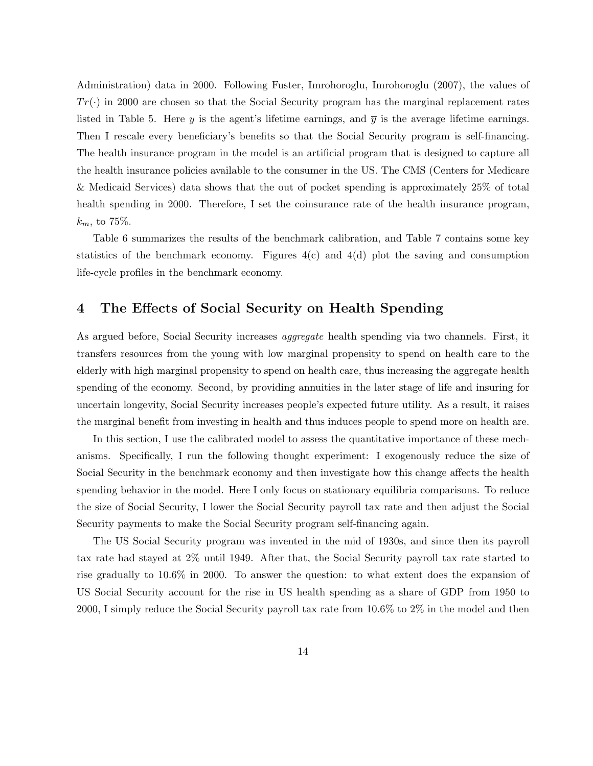Administration) data in 2000. Following Fuster, Imrohoroglu, Imrohoroglu (2007), the values of  $Tr(\cdot)$  in 2000 are chosen so that the Social Security program has the marginal replacement rates listed in Table 5. Here y is the agent's lifetime earnings, and  $\bar{y}$  is the average lifetime earnings. Then I rescale every beneficiary's benefits so that the Social Security program is self-financing. The health insurance program in the model is an artificial program that is designed to capture all the health insurance policies available to the consumer in the US. The CMS (Centers for Medicare & Medicaid Services) data shows that the out of pocket spending is approximately 25% of total health spending in 2000. Therefore, I set the coinsurance rate of the health insurance program,  $k_m$ , to 75%.

Table 6 summarizes the results of the benchmark calibration, and Table 7 contains some key statistics of the benchmark economy. Figures  $4(c)$  and  $4(d)$  plot the saving and consumption life-cycle profiles in the benchmark economy.

## 4 The Effects of Social Security on Health Spending

As argued before, Social Security increases aggregate health spending via two channels. First, it transfers resources from the young with low marginal propensity to spend on health care to the elderly with high marginal propensity to spend on health care, thus increasing the aggregate health spending of the economy. Second, by providing annuities in the later stage of life and insuring for uncertain longevity, Social Security increases people's expected future utility. As a result, it raises the marginal benefit from investing in health and thus induces people to spend more on health are.

In this section, I use the calibrated model to assess the quantitative importance of these mechanisms. Specifically, I run the following thought experiment: I exogenously reduce the size of Social Security in the benchmark economy and then investigate how this change affects the health spending behavior in the model. Here I only focus on stationary equilibria comparisons. To reduce the size of Social Security, I lower the Social Security payroll tax rate and then adjust the Social Security payments to make the Social Security program self-financing again.

The US Social Security program was invented in the mid of 1930s, and since then its payroll tax rate had stayed at 2% until 1949. After that, the Social Security payroll tax rate started to rise gradually to 10.6% in 2000. To answer the question: to what extent does the expansion of US Social Security account for the rise in US health spending as a share of GDP from 1950 to 2000, I simply reduce the Social Security payroll tax rate from 10.6% to 2% in the model and then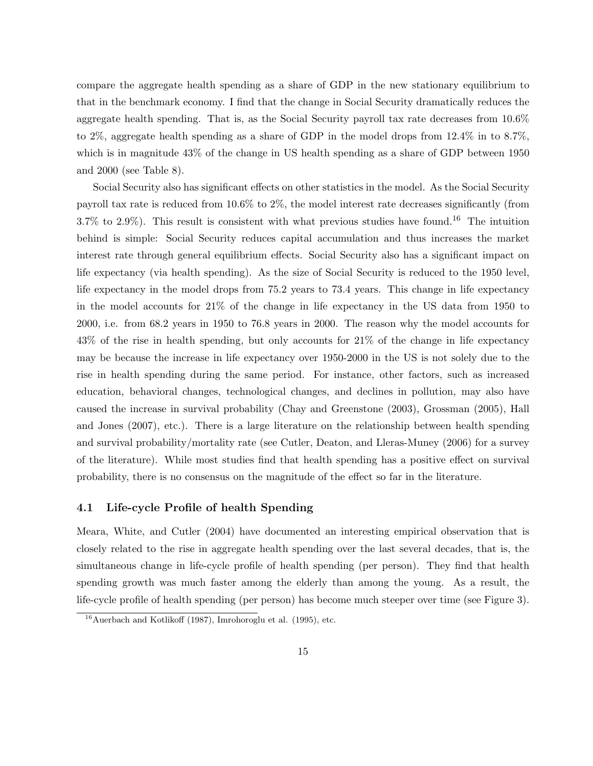compare the aggregate health spending as a share of GDP in the new stationary equilibrium to that in the benchmark economy. I find that the change in Social Security dramatically reduces the aggregate health spending. That is, as the Social Security payroll tax rate decreases from 10.6% to 2%, aggregate health spending as a share of GDP in the model drops from 12.4% in to 8.7%, which is in magnitude 43% of the change in US health spending as a share of GDP between 1950 and 2000 (see Table 8).

Social Security also has significant effects on other statistics in the model. As the Social Security payroll tax rate is reduced from 10.6% to 2%, the model interest rate decreases significantly (from  $3.7\%$  to  $2.9\%$ ). This result is consistent with what previous studies have found.<sup>16</sup> The intuition behind is simple: Social Security reduces capital accumulation and thus increases the market interest rate through general equilibrium effects. Social Security also has a significant impact on life expectancy (via health spending). As the size of Social Security is reduced to the 1950 level, life expectancy in the model drops from 75.2 years to 73.4 years. This change in life expectancy in the model accounts for 21% of the change in life expectancy in the US data from 1950 to 2000, i.e. from 68.2 years in 1950 to 76.8 years in 2000. The reason why the model accounts for 43% of the rise in health spending, but only accounts for 21% of the change in life expectancy may be because the increase in life expectancy over 1950-2000 in the US is not solely due to the rise in health spending during the same period. For instance, other factors, such as increased education, behavioral changes, technological changes, and declines in pollution, may also have caused the increase in survival probability (Chay and Greenstone (2003), Grossman (2005), Hall and Jones (2007), etc.). There is a large literature on the relationship between health spending and survival probability/mortality rate (see Cutler, Deaton, and Lleras-Muney (2006) for a survey of the literature). While most studies find that health spending has a positive effect on survival probability, there is no consensus on the magnitude of the effect so far in the literature.

#### 4.1 Life-cycle Profile of health Spending

Meara, White, and Cutler (2004) have documented an interesting empirical observation that is closely related to the rise in aggregate health spending over the last several decades, that is, the simultaneous change in life-cycle profile of health spending (per person). They find that health spending growth was much faster among the elderly than among the young. As a result, the life-cycle profile of health spending (per person) has become much steeper over time (see Figure 3).

 $16$ Auerbach and Kotlikoff (1987), Imrohoroglu et al. (1995), etc.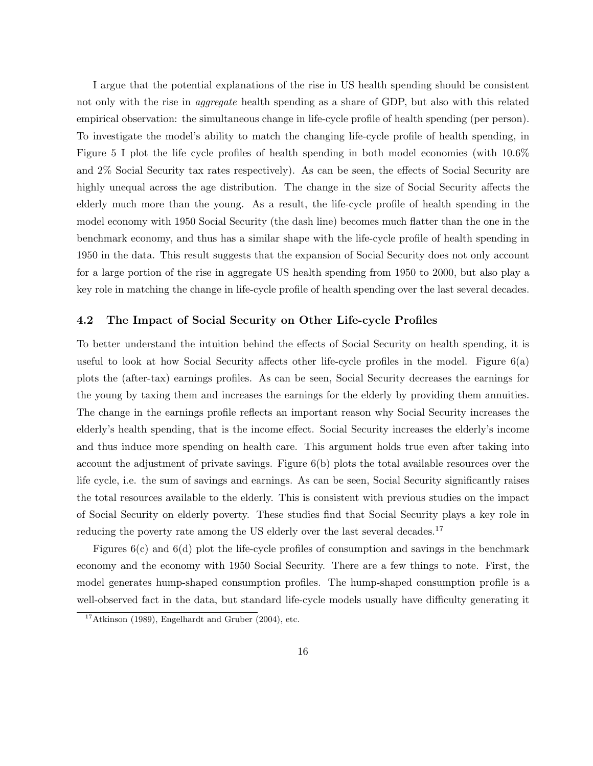I argue that the potential explanations of the rise in US health spending should be consistent not only with the rise in *aggregate* health spending as a share of GDP, but also with this related empirical observation: the simultaneous change in life-cycle profile of health spending (per person). To investigate the model's ability to match the changing life-cycle profile of health spending, in Figure 5 I plot the life cycle profiles of health spending in both model economies (with 10.6% and 2% Social Security tax rates respectively). As can be seen, the effects of Social Security are highly unequal across the age distribution. The change in the size of Social Security affects the elderly much more than the young. As a result, the life-cycle profile of health spending in the model economy with 1950 Social Security (the dash line) becomes much flatter than the one in the benchmark economy, and thus has a similar shape with the life-cycle profile of health spending in 1950 in the data. This result suggests that the expansion of Social Security does not only account for a large portion of the rise in aggregate US health spending from 1950 to 2000, but also play a key role in matching the change in life-cycle profile of health spending over the last several decades.

#### 4.2 The Impact of Social Security on Other Life-cycle Profiles

To better understand the intuition behind the effects of Social Security on health spending, it is useful to look at how Social Security affects other life-cycle profiles in the model. Figure 6(a) plots the (after-tax) earnings profiles. As can be seen, Social Security decreases the earnings for the young by taxing them and increases the earnings for the elderly by providing them annuities. The change in the earnings profile reflects an important reason why Social Security increases the elderly's health spending, that is the income effect. Social Security increases the elderly's income and thus induce more spending on health care. This argument holds true even after taking into account the adjustment of private savings. Figure 6(b) plots the total available resources over the life cycle, i.e. the sum of savings and earnings. As can be seen, Social Security significantly raises the total resources available to the elderly. This is consistent with previous studies on the impact of Social Security on elderly poverty. These studies find that Social Security plays a key role in reducing the poverty rate among the US elderly over the last several decades.<sup>17</sup>

Figures  $6(c)$  and  $6(d)$  plot the life-cycle profiles of consumption and savings in the benchmark economy and the economy with 1950 Social Security. There are a few things to note. First, the model generates hump-shaped consumption profiles. The hump-shaped consumption profile is a well-observed fact in the data, but standard life-cycle models usually have difficulty generating it

 $17$ Atkinson (1989), Engelhardt and Gruber (2004), etc.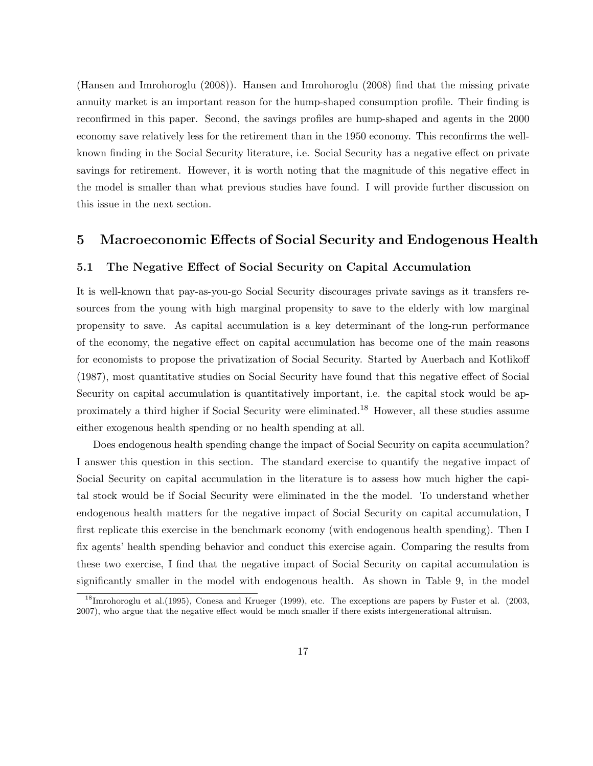(Hansen and Imrohoroglu (2008)). Hansen and Imrohoroglu (2008) find that the missing private annuity market is an important reason for the hump-shaped consumption profile. Their finding is reconfirmed in this paper. Second, the savings profiles are hump-shaped and agents in the 2000 economy save relatively less for the retirement than in the 1950 economy. This reconfirms the wellknown finding in the Social Security literature, i.e. Social Security has a negative effect on private savings for retirement. However, it is worth noting that the magnitude of this negative effect in the model is smaller than what previous studies have found. I will provide further discussion on this issue in the next section.

### 5 Macroeconomic Effects of Social Security and Endogenous Health

#### 5.1 The Negative Effect of Social Security on Capital Accumulation

It is well-known that pay-as-you-go Social Security discourages private savings as it transfers resources from the young with high marginal propensity to save to the elderly with low marginal propensity to save. As capital accumulation is a key determinant of the long-run performance of the economy, the negative effect on capital accumulation has become one of the main reasons for economists to propose the privatization of Social Security. Started by Auerbach and Kotlikoff (1987), most quantitative studies on Social Security have found that this negative effect of Social Security on capital accumulation is quantitatively important, i.e. the capital stock would be approximately a third higher if Social Security were eliminated.<sup>18</sup> However, all these studies assume either exogenous health spending or no health spending at all.

Does endogenous health spending change the impact of Social Security on capita accumulation? I answer this question in this section. The standard exercise to quantify the negative impact of Social Security on capital accumulation in the literature is to assess how much higher the capital stock would be if Social Security were eliminated in the the model. To understand whether endogenous health matters for the negative impact of Social Security on capital accumulation, I first replicate this exercise in the benchmark economy (with endogenous health spending). Then I fix agents' health spending behavior and conduct this exercise again. Comparing the results from these two exercise, I find that the negative impact of Social Security on capital accumulation is significantly smaller in the model with endogenous health. As shown in Table 9, in the model

<sup>&</sup>lt;sup>18</sup>Imrohoroglu et al. (1995), Conesa and Krueger (1999), etc. The exceptions are papers by Fuster et al. (2003, 2007), who argue that the negative effect would be much smaller if there exists intergenerational altruism.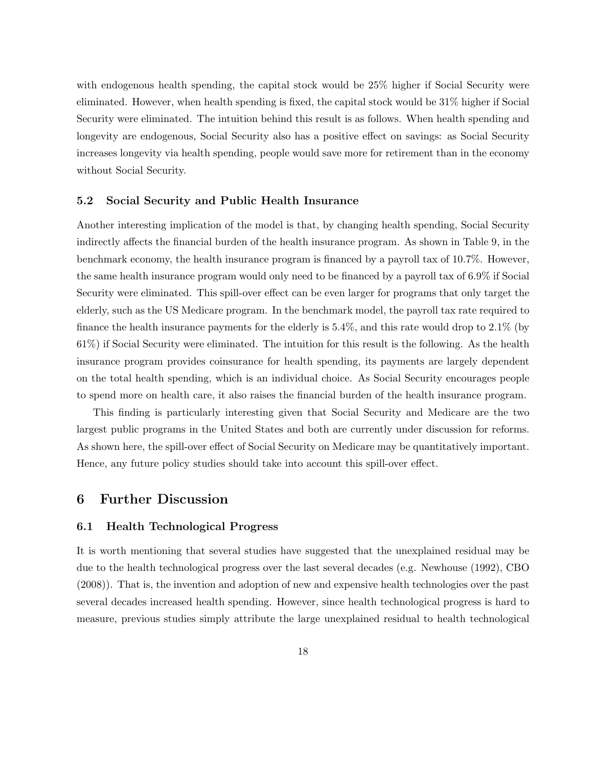with endogenous health spending, the capital stock would be 25% higher if Social Security were eliminated. However, when health spending is fixed, the capital stock would be 31% higher if Social Security were eliminated. The intuition behind this result is as follows. When health spending and longevity are endogenous, Social Security also has a positive effect on savings: as Social Security increases longevity via health spending, people would save more for retirement than in the economy without Social Security.

#### 5.2 Social Security and Public Health Insurance

Another interesting implication of the model is that, by changing health spending, Social Security indirectly affects the financial burden of the health insurance program. As shown in Table 9, in the benchmark economy, the health insurance program is financed by a payroll tax of 10.7%. However, the same health insurance program would only need to be financed by a payroll tax of 6.9% if Social Security were eliminated. This spill-over effect can be even larger for programs that only target the elderly, such as the US Medicare program. In the benchmark model, the payroll tax rate required to finance the health insurance payments for the elderly is 5.4%, and this rate would drop to 2.1% (by 61%) if Social Security were eliminated. The intuition for this result is the following. As the health insurance program provides coinsurance for health spending, its payments are largely dependent on the total health spending, which is an individual choice. As Social Security encourages people to spend more on health care, it also raises the financial burden of the health insurance program.

This finding is particularly interesting given that Social Security and Medicare are the two largest public programs in the United States and both are currently under discussion for reforms. As shown here, the spill-over effect of Social Security on Medicare may be quantitatively important. Hence, any future policy studies should take into account this spill-over effect.

## 6 Further Discussion

#### 6.1 Health Technological Progress

It is worth mentioning that several studies have suggested that the unexplained residual may be due to the health technological progress over the last several decades (e.g. Newhouse (1992), CBO (2008)). That is, the invention and adoption of new and expensive health technologies over the past several decades increased health spending. However, since health technological progress is hard to measure, previous studies simply attribute the large unexplained residual to health technological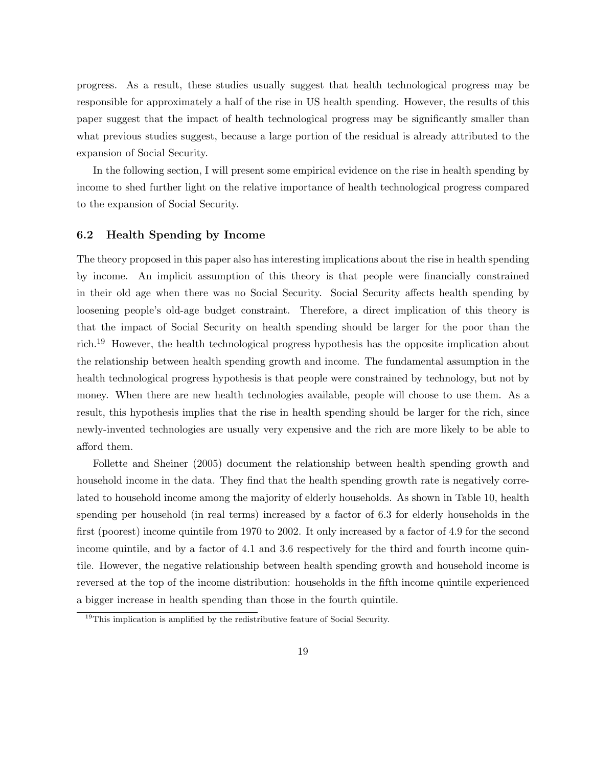progress. As a result, these studies usually suggest that health technological progress may be responsible for approximately a half of the rise in US health spending. However, the results of this paper suggest that the impact of health technological progress may be significantly smaller than what previous studies suggest, because a large portion of the residual is already attributed to the expansion of Social Security.

In the following section, I will present some empirical evidence on the rise in health spending by income to shed further light on the relative importance of health technological progress compared to the expansion of Social Security.

#### 6.2 Health Spending by Income

The theory proposed in this paper also has interesting implications about the rise in health spending by income. An implicit assumption of this theory is that people were financially constrained in their old age when there was no Social Security. Social Security affects health spending by loosening people's old-age budget constraint. Therefore, a direct implication of this theory is that the impact of Social Security on health spending should be larger for the poor than the rich.<sup>19</sup> However, the health technological progress hypothesis has the opposite implication about the relationship between health spending growth and income. The fundamental assumption in the health technological progress hypothesis is that people were constrained by technology, but not by money. When there are new health technologies available, people will choose to use them. As a result, this hypothesis implies that the rise in health spending should be larger for the rich, since newly-invented technologies are usually very expensive and the rich are more likely to be able to afford them.

Follette and Sheiner (2005) document the relationship between health spending growth and household income in the data. They find that the health spending growth rate is negatively correlated to household income among the majority of elderly households. As shown in Table 10, health spending per household (in real terms) increased by a factor of 6.3 for elderly households in the first (poorest) income quintile from 1970 to 2002. It only increased by a factor of 4.9 for the second income quintile, and by a factor of 4.1 and 3.6 respectively for the third and fourth income quintile. However, the negative relationship between health spending growth and household income is reversed at the top of the income distribution: households in the fifth income quintile experienced a bigger increase in health spending than those in the fourth quintile.

<sup>&</sup>lt;sup>19</sup>This implication is amplified by the redistributive feature of Social Security.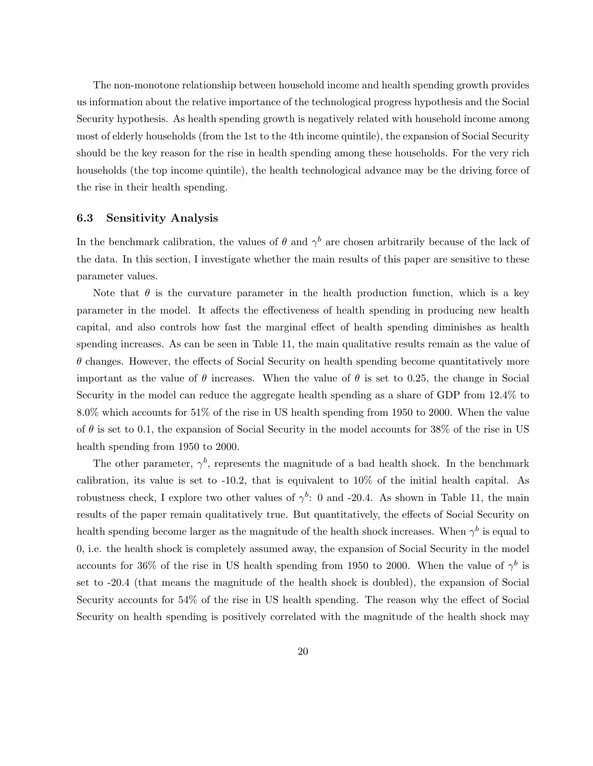The non-monotone relationship between household income and health spending growth provides us information about the relative importance of the technological progress hypothesis and the Social Security hypothesis. As health spending growth is negatively related with household income among most of elderly households (from the 1st to the 4th income quintile), the expansion of Social Security should be the key reason for the rise in health spending among these households. For the very rich households (the top income quintile), the health technological advance may be the driving force of the rise in their health spending.

#### 6.3 Sensitivity Analysis

In the benchmark calibration, the values of  $\theta$  and  $\gamma^b$  are chosen arbitrarily because of the lack of the data. In this section, I investigate whether the main results of this paper are sensitive to these parameter values.

Note that  $\theta$  is the curvature parameter in the health production function, which is a key parameter in the model. It affects the effectiveness of health spending in producing new health capital, and also controls how fast the marginal effect of health spending diminishes as health spending increases. As can be seen in Table 11, the main qualitative results remain as the value of  $\theta$  changes. However, the effects of Social Security on health spending become quantitatively more important as the value of  $\theta$  increases. When the value of  $\theta$  is set to 0.25, the change in Social Security in the model can reduce the aggregate health spending as a share of GDP from 12.4% to 8.0% which accounts for 51% of the rise in US health spending from 1950 to 2000. When the value of  $\theta$  is set to 0.1, the expansion of Social Security in the model accounts for 38% of the rise in US health spending from 1950 to 2000.

The other parameter,  $\gamma^b$ , represents the magnitude of a bad health shock. In the benchmark calibration, its value is set to -10.2, that is equivalent to 10% of the initial health capital. As robustness check, I explore two other values of  $\gamma^b$ : 0 and -20.4. As shown in Table 11, the main results of the paper remain qualitatively true. But quantitatively, the effects of Social Security on health spending become larger as the magnitude of the health shock increases. When  $\gamma^b$  is equal to 0, i.e. the health shock is completely assumed away, the expansion of Social Security in the model accounts for 36% of the rise in US health spending from 1950 to 2000. When the value of  $\gamma^b$  is set to -20.4 (that means the magnitude of the health shock is doubled), the expansion of Social Security accounts for 54% of the rise in US health spending. The reason why the effect of Social Security on health spending is positively correlated with the magnitude of the health shock may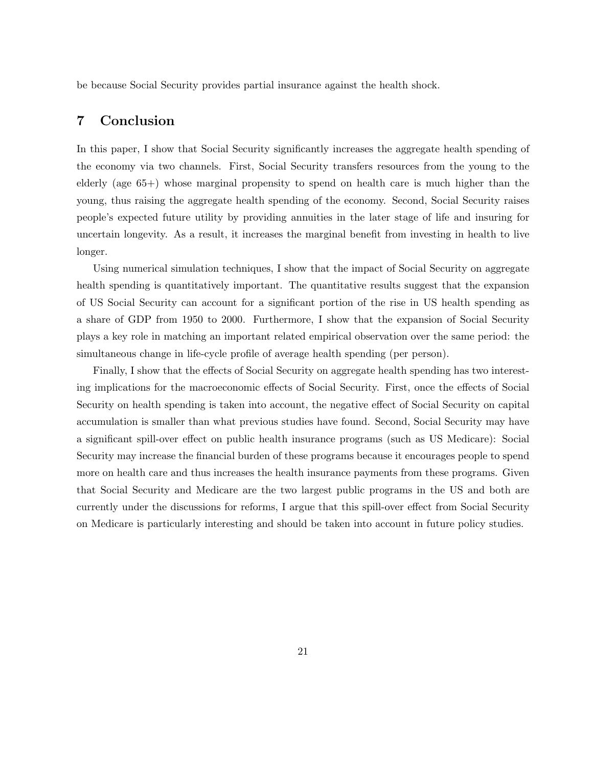be because Social Security provides partial insurance against the health shock.

## 7 Conclusion

In this paper, I show that Social Security significantly increases the aggregate health spending of the economy via two channels. First, Social Security transfers resources from the young to the elderly (age 65+) whose marginal propensity to spend on health care is much higher than the young, thus raising the aggregate health spending of the economy. Second, Social Security raises people's expected future utility by providing annuities in the later stage of life and insuring for uncertain longevity. As a result, it increases the marginal benefit from investing in health to live longer.

Using numerical simulation techniques, I show that the impact of Social Security on aggregate health spending is quantitatively important. The quantitative results suggest that the expansion of US Social Security can account for a significant portion of the rise in US health spending as a share of GDP from 1950 to 2000. Furthermore, I show that the expansion of Social Security plays a key role in matching an important related empirical observation over the same period: the simultaneous change in life-cycle profile of average health spending (per person).

Finally, I show that the effects of Social Security on aggregate health spending has two interesting implications for the macroeconomic effects of Social Security. First, once the effects of Social Security on health spending is taken into account, the negative effect of Social Security on capital accumulation is smaller than what previous studies have found. Second, Social Security may have a significant spill-over effect on public health insurance programs (such as US Medicare): Social Security may increase the financial burden of these programs because it encourages people to spend more on health care and thus increases the health insurance payments from these programs. Given that Social Security and Medicare are the two largest public programs in the US and both are currently under the discussions for reforms, I argue that this spill-over effect from Social Security on Medicare is particularly interesting and should be taken into account in future policy studies.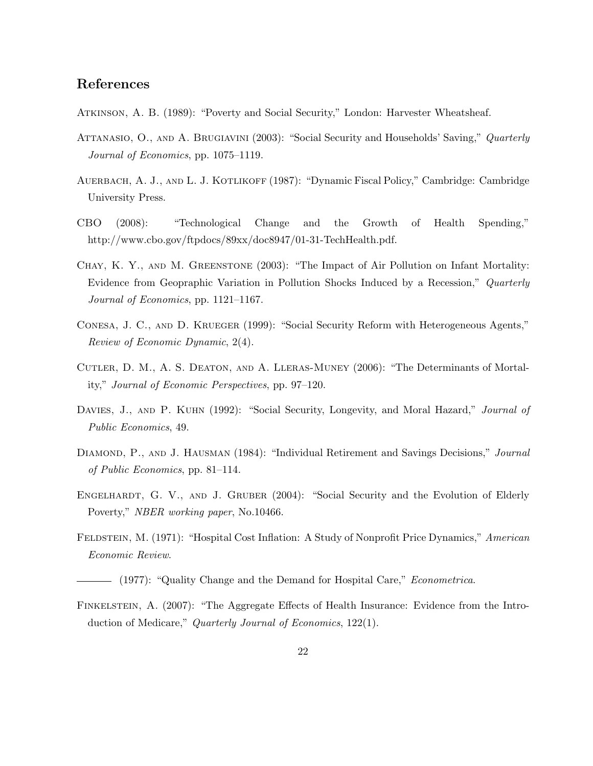## References

Atkinson, A. B. (1989): "Poverty and Social Security," London: Harvester Wheatsheaf.

- ATTANASIO, O., AND A. BRUGIAVINI (2003): "Social Security and Households' Saving," Quarterly Journal of Economics, pp. 1075–1119.
- AUERBACH, A. J., AND L. J. KOTLIKOFF (1987): "Dynamic Fiscal Policy," Cambridge: Cambridge University Press.
- CBO (2008): "Technological Change and the Growth of Health Spending," http://www.cbo.gov/ftpdocs/89xx/doc8947/01-31-TechHealth.pdf.
- Chay, K. Y., and M. Greenstone (2003): "The Impact of Air Pollution on Infant Mortality: Evidence from Geopraphic Variation in Pollution Shocks Induced by a Recession," Quarterly Journal of Economics, pp. 1121–1167.
- Conesa, J. C., and D. Krueger (1999): "Social Security Reform with Heterogeneous Agents," Review of Economic Dynamic, 2(4).
- Cutler, D. M., A. S. Deaton, and A. Lleras-Muney (2006): "The Determinants of Mortality," Journal of Economic Perspectives, pp. 97–120.
- DAVIES, J., AND P. KUHN (1992): "Social Security, Longevity, and Moral Hazard," *Journal of* Public Economics, 49.
- DIAMOND, P., AND J. HAUSMAN (1984): "Individual Retirement and Savings Decisions," Journal of Public Economics, pp. 81–114.
- ENGELHARDT, G. V., AND J. GRUBER (2004): "Social Security and the Evolution of Elderly Poverty," NBER working paper, No.10466.
- FELDSTEIN, M. (1971): "Hospital Cost Inflation: A Study of Nonprofit Price Dynamics," American Economic Review.

Finkelstein, A. (2007): "The Aggregate Effects of Health Insurance: Evidence from the Introduction of Medicare," Quarterly Journal of Economics, 122(1).

<sup>- (1977): &</sup>quot;Quality Change and the Demand for Hospital Care," *Econometrica*.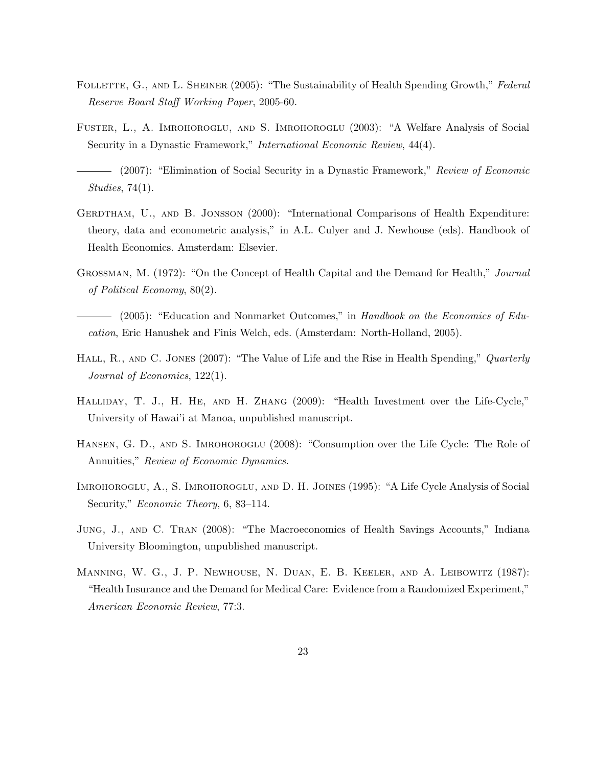- FOLLETTE, G., AND L. SHEINER (2005): "The Sustainability of Health Spending Growth," Federal Reserve Board Staff Working Paper, 2005-60.
- Fuster, L., A. Imrohoroglu, and S. Imrohoroglu (2003): "A Welfare Analysis of Social Security in a Dynastic Framework," International Economic Review, 44(4).
- (2007): "Elimination of Social Security in a Dynastic Framework," Review of Economic Studies, 74(1).
- GERDTHAM, U., AND B. JONSSON (2000): "International Comparisons of Health Expenditure: theory, data and econometric analysis," in A.L. Culyer and J. Newhouse (eds). Handbook of Health Economics. Amsterdam: Elsevier.
- Grossman, M. (1972): "On the Concept of Health Capital and the Demand for Health," Journal of Political Economy, 80(2).
- (2005): "Education and Nonmarket Outcomes," in Handbook on the Economics of Education, Eric Hanushek and Finis Welch, eds. (Amsterdam: North-Holland, 2005).
- HALL, R., AND C. JONES (2007): "The Value of Life and the Rise in Health Spending," Quarterly Journal of Economics, 122(1).
- Halliday, T. J., H. He, and H. Zhang (2009): "Health Investment over the Life-Cycle," University of Hawai'i at Manoa, unpublished manuscript.
- HANSEN, G. D., AND S. IMROHOROGLU (2008): "Consumption over the Life Cycle: The Role of Annuities," Review of Economic Dynamics.
- Imrohoroglu, A., S. Imrohoroglu, and D. H. Joines (1995): "A Life Cycle Analysis of Social Security," *Economic Theory*, 6, 83–114.
- Jung, J., and C. Tran (2008): "The Macroeconomics of Health Savings Accounts," Indiana University Bloomington, unpublished manuscript.
- Manning, W. G., J. P. Newhouse, N. Duan, E. B. Keeler, and A. Leibowitz (1987): "Health Insurance and the Demand for Medical Care: Evidence from a Randomized Experiment," American Economic Review, 77:3.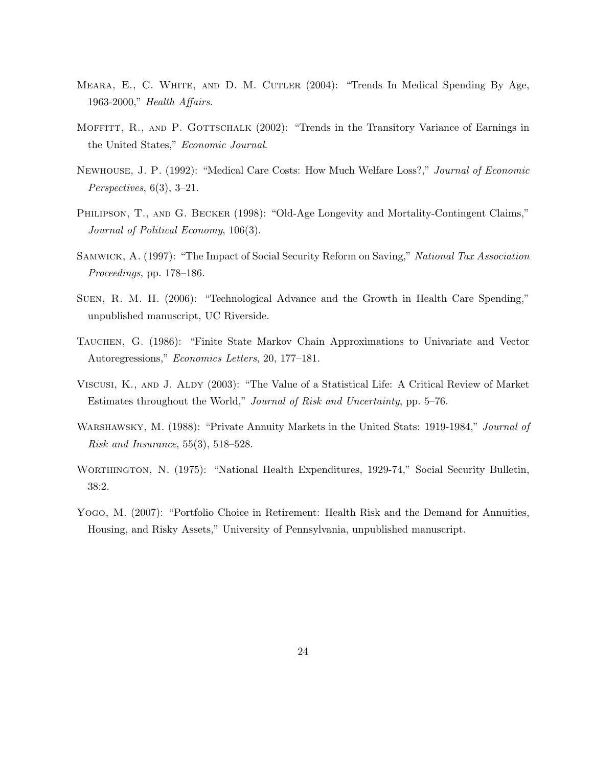- Meara, E., C. White, and D. M. Cutler (2004): "Trends In Medical Spending By Age, 1963-2000," Health Affairs.
- MOFFITT, R., AND P. GOTTSCHALK (2002): "Trends in the Transitory Variance of Earnings in the United States," Economic Journal.
- Newhouse, J. P. (1992): "Medical Care Costs: How Much Welfare Loss?," Journal of Economic  $Perspectives, 6(3), 3-21.$
- PHILIPSON, T., AND G. BECKER (1998): "Old-Age Longevity and Mortality-Contingent Claims," Journal of Political Economy, 106(3).
- Samwick, A. (1997): "The Impact of Social Security Reform on Saving," National Tax Association Proceedings, pp. 178–186.
- Suen, R. M. H. (2006): "Technological Advance and the Growth in Health Care Spending," unpublished manuscript, UC Riverside.
- Tauchen, G. (1986): "Finite State Markov Chain Approximations to Univariate and Vector Autoregressions," Economics Letters, 20, 177–181.
- Viscusi, K., and J. Aldy (2003): "The Value of a Statistical Life: A Critical Review of Market Estimates throughout the World," Journal of Risk and Uncertainty, pp. 5–76.
- WARSHAWSKY, M. (1988): "Private Annuity Markets in the United Stats: 1919-1984," Journal of Risk and Insurance, 55(3), 518–528.
- Worthington, N. (1975): "National Health Expenditures, 1929-74," Social Security Bulletin, 38:2.
- Yogo, M. (2007): "Portfolio Choice in Retirement: Health Risk and the Demand for Annuities, Housing, and Risky Assets," University of Pennsylvania, unpublished manuscript.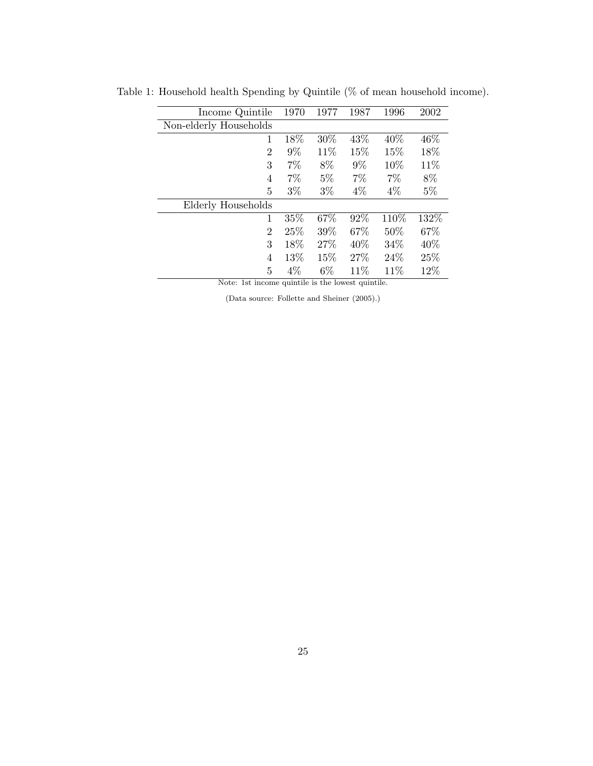| Income Quintile        | 1970  | 1977  | 1987  | 1996  | 2002  |
|------------------------|-------|-------|-------|-------|-------|
| Non-elderly Households |       |       |       |       |       |
| 1                      | 18%   | 30%   | 43%   | 40%   | 46\%  |
| 2                      | 9%    | 11%   | 15%   | 15%   | 18%   |
| 3                      | $7\%$ | 8%    | $9\%$ | 10%   | 11%   |
| 4                      | $7\%$ | $5\%$ | $7\%$ | $7\%$ | 8%    |
| 5                      | $3\%$ | $3\%$ | $4\%$ | $4\%$ | $5\%$ |
| Elderly Households     |       |       |       |       |       |
| 1                      | 35%   | 67%   | 92%   | 110%  | 132%  |
| $\overline{2}$         | 25%   | 39%   | 67%   | 50%   | 67%   |
| 3                      | 18%   | 27%   | 40%   | 34%   | 40%   |
| 4                      | 13%   | 15%   | 27%   | 24\%  | 25%   |
| 5                      | $4\%$ | $6\%$ | 11\%  | 11%   | 12%   |

Table 1: Household health Spending by Quintile (% of mean household income).

Note: 1st income quintile is the lowest quintile.

(Data source: Follette and Sheiner (2005).)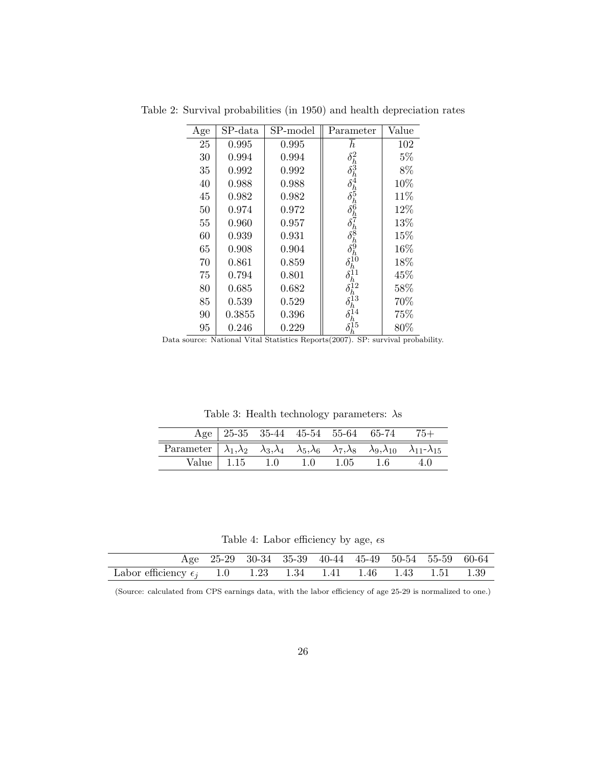| Age | SP-data | SP-model | Parameter                                                | Value |
|-----|---------|----------|----------------------------------------------------------|-------|
| 25  | 0.995   | 0.995    | $\boldsymbol{h}$                                         | 102   |
| 30  | 0.994   | 0.994    |                                                          | $5\%$ |
| 35  | 0.992   | 0.992    | $\delta_h^2 \delta_h^3 \delta_h^4 \delta_h^6 \delta_h^6$ | 8%    |
| 40  | 0.988   | 0.988    |                                                          | 10%   |
| 45  | 0.982   | 0.982    |                                                          | 11%   |
| 50  | 0.974   | 0.972    |                                                          | 12%   |
| 55  | 0.960   | 0.957    | $\delta_h^{\prime}$                                      | 13%   |
| 60  | 0.939   | 0.931    | $\delta_h^8\delta_h^9$                                   | 15%   |
| 65  | 0.908   | 0.904    |                                                          | 16%   |
| 70  | 0.861   | 0.859    | $\delta_h^{\dot{1}\dot{0}}$                              | 18%   |
| 75  | 0.794   | 0.801    |                                                          | 45%   |
| 80  | 0.685   | 0.682    |                                                          | 58%   |
| 85  | 0.539   | 0.529    | $\zeta_{13}'$                                            | 70%   |
| 90  | 0.3855  | 0.396    | $\frac{14}{h}$                                           | 75%   |
| 95  | 0.246   | 0.229    | h                                                        | 80%   |

Table 2: Survival probabilities (in 1950) and health depreciation rates

Data source: National Vital Statistics Reports(2007). SP: survival probability.

Table 3: Health technology parameters:  $\lambda$ s

|                                                                                                                                                     |  |  | Age 25-35 35-44 45-54 55-64 65-74 75+ |  |
|-----------------------------------------------------------------------------------------------------------------------------------------------------|--|--|---------------------------------------|--|
| Parameter $\lambda_1, \lambda_2 \lambda_3, \lambda_4 \lambda_5, \lambda_6 \lambda_7, \lambda_8 \lambda_9, \lambda_{10} \lambda_{11} - \lambda_{15}$ |  |  |                                       |  |
|                                                                                                                                                     |  |  | Value 1.15 1.0 1.0 1.05 1.6 4.0       |  |

Table 4: Labor efficiency by age,  $\epsilon$ s

|                                                                      |  | Age 25-29 30-34 35-39 40-44 45-49 50-54 55-59 60-64 |  |  |
|----------------------------------------------------------------------|--|-----------------------------------------------------|--|--|
| Labor efficiency $\epsilon_i$ 1.0 1.23 1.34 1.41 1.46 1.43 1.51 1.39 |  |                                                     |  |  |

(Source: calculated from CPS earnings data, with the labor efficiency of age 25-29 is normalized to one.)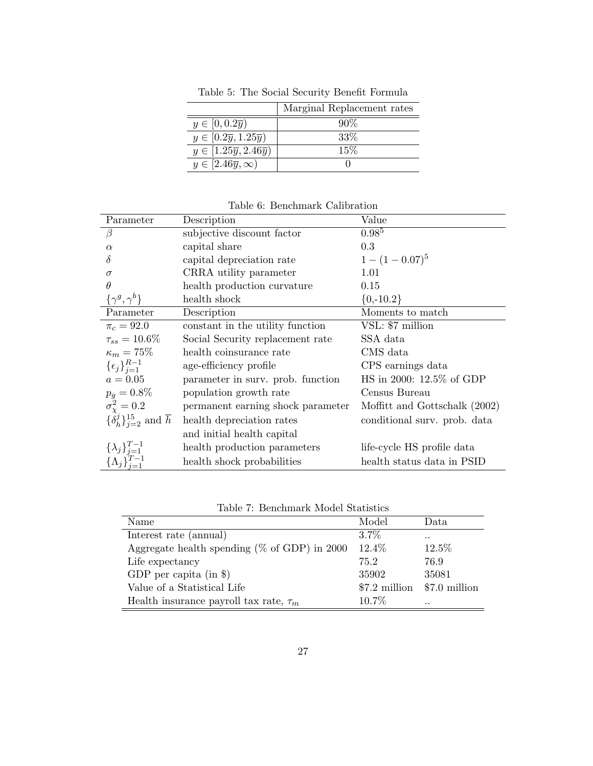|                                              | Marginal Replacement rates |
|----------------------------------------------|----------------------------|
| $y \in [0, 0.2\overline{y})$                 | $90\%$                     |
| $y \in [0.2\overline{y}, 1.25\overline{y})$  | $33\%$                     |
| $y \in [1.25\overline{y}, 2.46\overline{y})$ | 15%                        |
| $y \in [2.46\overline{y}, \infty)$           |                            |

Table 5: The Social Security Benefit Formula

Table 6: Benchmark Calibration

| Parameter                                                  | Description                       | Value                         |
|------------------------------------------------------------|-----------------------------------|-------------------------------|
| β                                                          | subjective discount factor        | $0.98^{5}$                    |
| $\alpha$                                                   | capital share                     | 0.3                           |
| Ò                                                          | capital depreciation rate         | $1-(1-0.07)^5$                |
| $\sigma$                                                   | CRRA utility parameter            | 1.01                          |
| $\theta$                                                   | health production curvature       | 0.15                          |
| $\{\gamma^g,\gamma^b\}$                                    | health shock                      | ${0, -10.2}$                  |
| Parameter                                                  | Description                       | Moments to match              |
| $\pi_c = 92.0$                                             | constant in the utility function  | VSL: \$7 million              |
| $\tau_{ss} = 10.6\%$                                       | Social Security replacement rate  | SSA data                      |
| $\kappa_m=75\%$                                            | health coinsurance rate           | CMS data                      |
| $\{\epsilon_j\}_{i=1}^{R-1}$                               | age-efficiency profile            | CPS earnings data             |
| $a=0.05\,$                                                 | parameter in surv. prob. function | HS in 2000: 12.5% of GDP      |
| $p_q = 0.8\%$                                              | population growth rate            | Census Bureau                 |
| $\sigma_{\gamma}^2 = 0.2$                                  | permanent earning shock parameter | Moffitt and Gottschalk (2002) |
| $\{\delta_h^j\}_{i=2}^{15}$ and $\overline{h}$             | health depreciation rates         | conditional surv. prob. data  |
|                                                            | and initial health capital        |                               |
|                                                            | health production parameters      | life-cycle HS profile data    |
| $\{\lambda_j\}_{j=1}^{T-1}$<br>$\{\Lambda_j\}_{j=1}^{T-1}$ | health shock probabilities        | health status data in PSID    |

Table 7: Benchmark Model Statistics

| Name                                             | Model    | Data                          |
|--------------------------------------------------|----------|-------------------------------|
| Interest rate (annual)                           | $3.7\%$  | $\cdot$ .                     |
| Aggregate health spending ( $\%$ of GDP) in 2000 | 12.4%    | 12.5%                         |
| Life expectancy                                  | 75.2     | 76.9                          |
| GDP per capita (in $\})$                         | 35902    | 35081                         |
| Value of a Statistical Life                      |          | $$7.2$ million $$7.0$ million |
| Health insurance payroll tax rate, $\tau_m$      | $10.7\%$ | $\cdot$ .                     |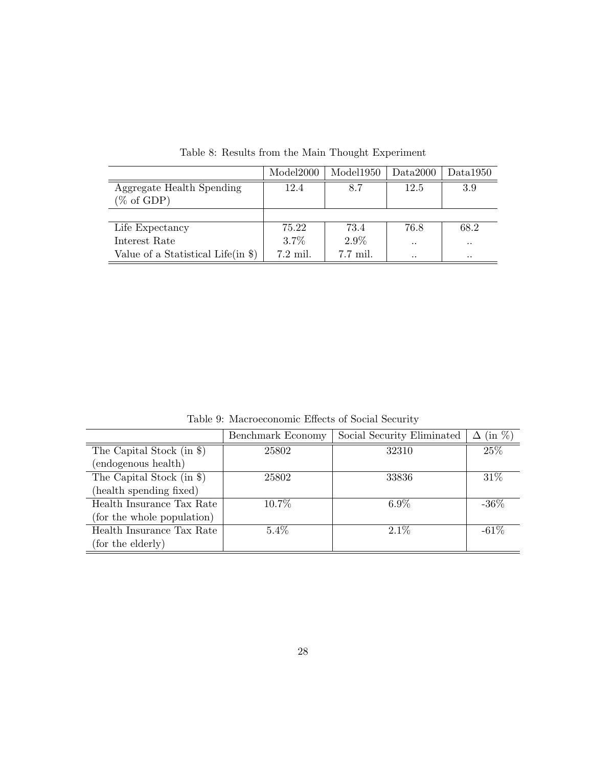|                                     | Model2000  | Model1950 | Data2000  | Data1950  |
|-------------------------------------|------------|-----------|-----------|-----------|
| Aggregate Health Spending           | 12.4       | 8.7       | 12.5      | 3.9       |
| $(\% \text{ of GDP})$               |            |           |           |           |
|                                     |            |           |           |           |
| Life Expectancy                     | 75.22      | 73.4      | 76.8      | 68.2      |
| Interest Rate                       | 3.7%       | $2.9\%$   | $\cdot$ . | $\cdot$ . |
| Value of a Statistical Life $(in \$ | $7.2$ mil. | 7.7 mil.  | $\cdot$ . | $\cdot$ . |

Table 8: Results from the Main Thought Experiment

Table 9: Macroeconomic Effects of Social Security

|                             | Benchmark Economy | Social Security Eliminated | $(\text{in } \%)$<br>Δ |
|-----------------------------|-------------------|----------------------------|------------------------|
| The Capital Stock (in $\})$ | 25802             | 32310                      | 25%                    |
| (endogenous health)         |                   |                            |                        |
| The Capital Stock (in $\})$ | 25802             | 33836                      | 31\%                   |
| (health spending fixed)     |                   |                            |                        |
| Health Insurance Tax Rate   | 10.7%             | $6.9\%$                    | $-36\%$                |
| (for the whole population)  |                   |                            |                        |
| Health Insurance Tax Rate   | $5.4\%$           | $2.1\%$                    | $-61\%$                |
| (for the elderly)           |                   |                            |                        |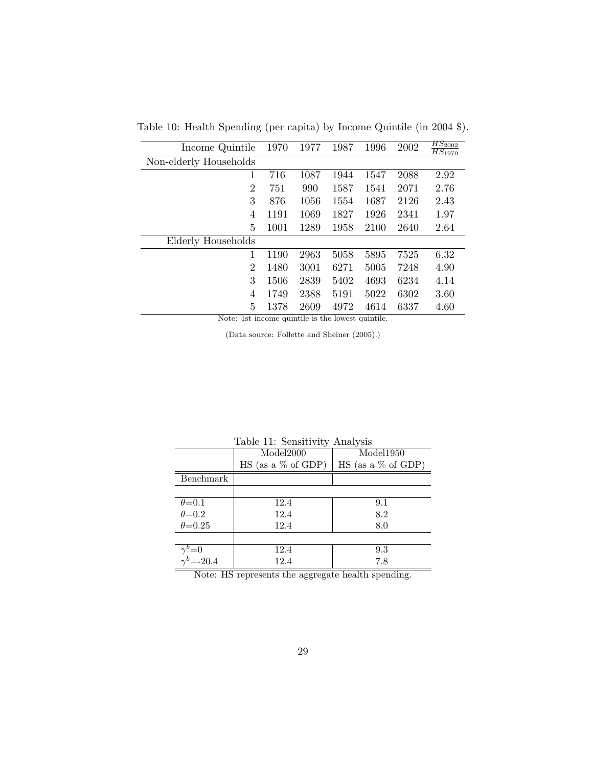Table 10: Health Spending (per capita) by Income Quintile (in 2004 \$).

| Income Quintile        | 1970 | 1977 | 1987 | 1996 | 2002 | $HS_{2002}$<br>$\overline{HS_{1970}}$ |
|------------------------|------|------|------|------|------|---------------------------------------|
| Non-elderly Households |      |      |      |      |      |                                       |
| 1                      | 716  | 1087 | 1944 | 1547 | 2088 | 2.92                                  |
| $\overline{2}$         | 751  | 990  | 1587 | 1541 | 2071 | 2.76                                  |
| 3                      | 876  | 1056 | 1554 | 1687 | 2126 | 2.43                                  |
| 4                      | 1191 | 1069 | 1827 | 1926 | 2341 | 1.97                                  |
| 5                      | 1001 | 1289 | 1958 | 2100 | 2640 | 2.64                                  |
| Elderly Households     |      |      |      |      |      |                                       |
| 1                      | 1190 | 2963 | 5058 | 5895 | 7525 | 6.32                                  |
| $\overline{2}$         | 1480 | 3001 | 6271 | 5005 | 7248 | 4.90                                  |
| 3                      | 1506 | 2839 | 5402 | 4693 | 6234 | 4.14                                  |
| 4                      | 1749 | 2388 | 5191 | 5022 | 6302 | 3.60                                  |
| 5                      | 1378 | 2609 | 4972 | 4614 | 6337 | 4.60                                  |

Note: 1st income quintile is the lowest quintile.

(Data source: Follette and Sheiner (2005).)

|                                            | Table II: Sensitivity Analysis |                             |  |  |  |  |  |
|--------------------------------------------|--------------------------------|-----------------------------|--|--|--|--|--|
|                                            | Model2000                      | Model1950                   |  |  |  |  |  |
|                                            | $\rm HS$ (as a % of GDP)       | $\text{HS}$ (as a % of GDP) |  |  |  |  |  |
| Benchmark                                  |                                |                             |  |  |  |  |  |
|                                            |                                |                             |  |  |  |  |  |
| $\theta = 0.1$                             | 12.4                           | 9.1                         |  |  |  |  |  |
| $\theta = 0.2$                             | 12.4                           | 8.2                         |  |  |  |  |  |
| $\theta = 0.25$                            | 12.4                           | 8.0                         |  |  |  |  |  |
|                                            |                                |                             |  |  |  |  |  |
|                                            | 12.4                           | 9.3                         |  |  |  |  |  |
| $\gamma^{b}=0$<br>$\gamma^{b}=-20.4$       | 12.4                           | 7.8                         |  |  |  |  |  |
| $\overline{M}$ $\overline{M}$<br>$1 \t 11$ |                                |                             |  |  |  |  |  |

Table 11: Sensitivity Analysis

Note: HS represents the aggregate health spending.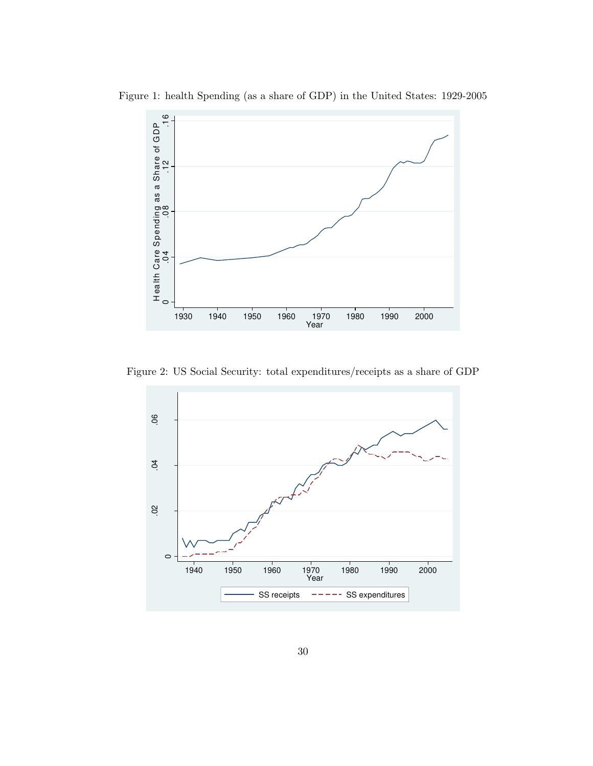

Figure 1: health Spending (as a share of GDP) in the United States: 1929-2005

Figure 2: US Social Security: total expenditures/receipts as a share of GDP

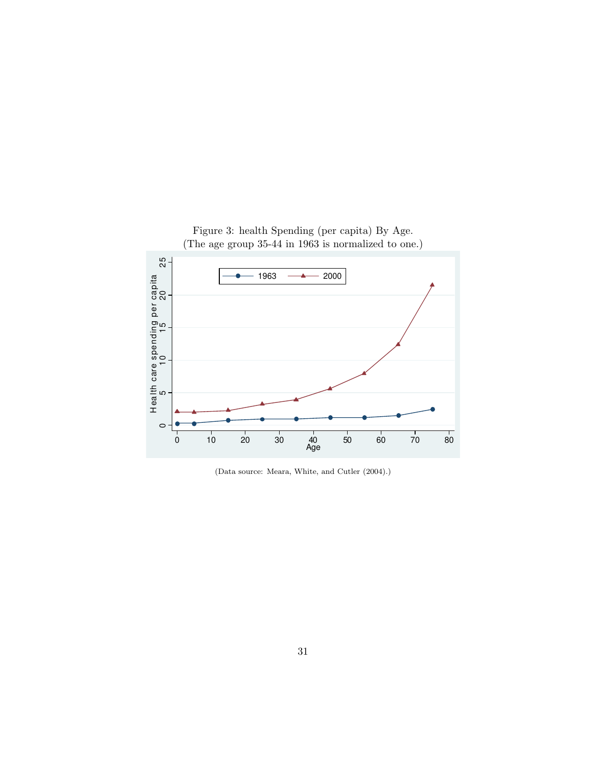

(Data source: Meara, White, and Cutler (2004).)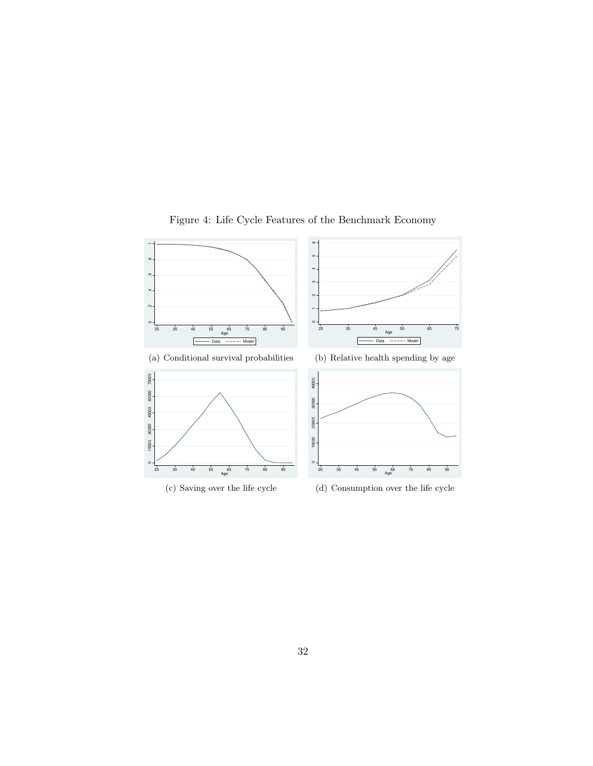

Figure 4: Life Cycle Features of the Benchmark Economy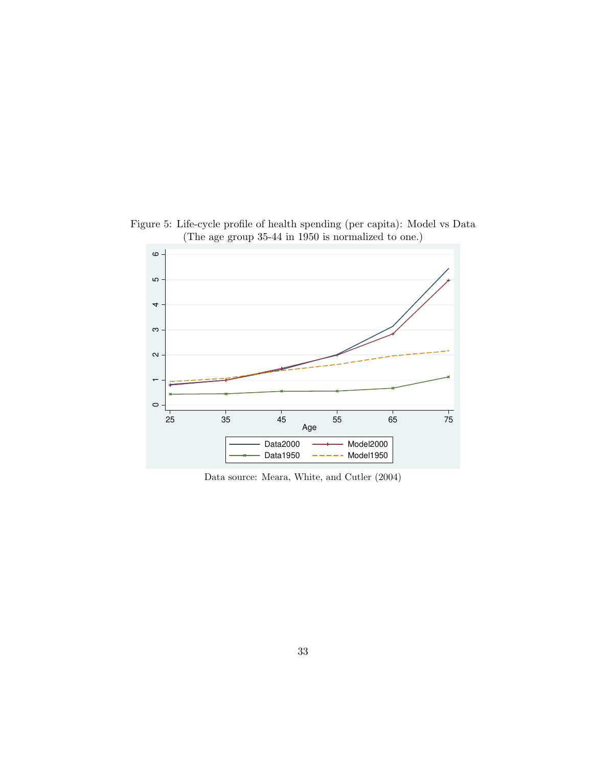

Figure 5: Life-cycle profile of health spending (per capita): Model vs Data (The age group 35-44 in 1950 is normalized to one.)

Data source: Meara, White, and Cutler (2004)